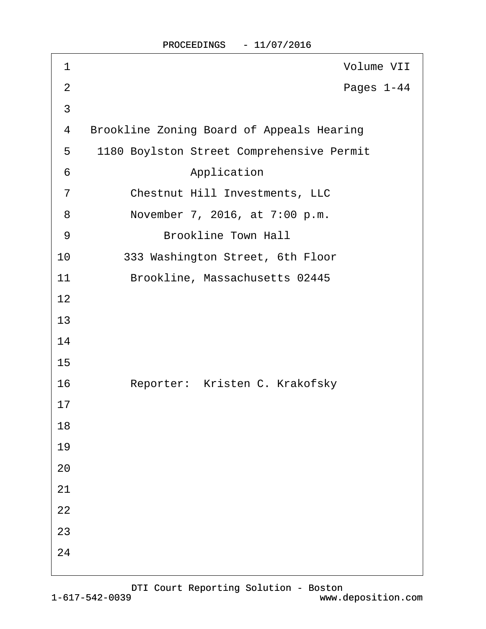| 1              | Volume VII                                       |
|----------------|--------------------------------------------------|
| 2              | Pages 1-44                                       |
| $\mathfrak{S}$ |                                                  |
| 4              | <b>Brookline Zoning Board of Appeals Hearing</b> |
| 5              | 1180 Boylston Street Comprehensive Permit        |
| 6              | Application                                      |
| $\overline{7}$ | <b>Chestnut Hill Investments, LLC</b>            |
| 8              | November 7, 2016, at 7:00 p.m.                   |
| 9              | <b>Brookline Town Hall</b>                       |
| 10             | 333 Washington Street, 6th Floor                 |
| 11             | Brookline, Massachusetts 02445                   |
| 12             |                                                  |
| 13             |                                                  |
| 14             |                                                  |
| 15             |                                                  |
| 16             | Reporter: Kristen C. Krakofsky                   |
| 17             |                                                  |
| 18             |                                                  |
| 19             |                                                  |
| 20             |                                                  |
| 21             |                                                  |
| 22             |                                                  |
| 23             |                                                  |
| 24             |                                                  |
|                |                                                  |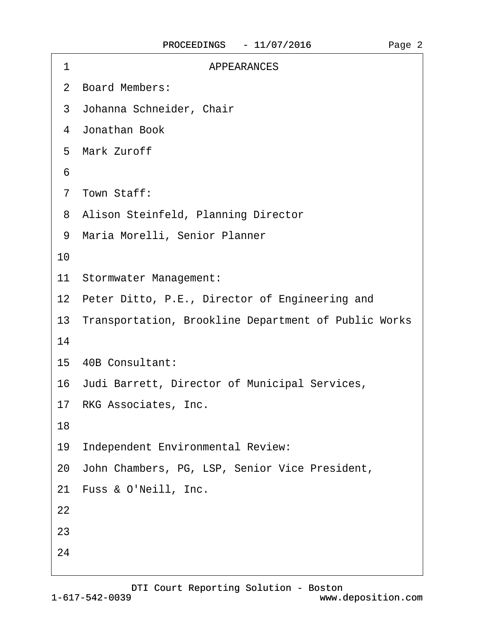| 1  | <b>APPEARANCES</b>                                      |
|----|---------------------------------------------------------|
|    | 2 Board Members:                                        |
|    | 3 Johanna Schneider, Chair                              |
|    | 4 Jonathan Book                                         |
|    | 5 Mark Zuroff                                           |
| 6  |                                                         |
|    | 7 Town Staff:                                           |
|    | 8 Alison Steinfeld, Planning Director                   |
|    | 9 Maria Morelli, Senior Planner                         |
| 10 |                                                         |
|    | 11 Stormwater Management:                               |
|    | 12 Peter Ditto, P.E., Director of Engineering and       |
|    | 13 Transportation, Brookline Department of Public Works |
| 14 |                                                         |
|    | 15 40B Consultant:                                      |
|    | 16 Judi Barrett, Director of Municipal Services,        |
|    | 17 RKG Associates, Inc.                                 |
| 18 |                                                         |
| 19 | Independent Environmental Review:                       |
|    | 20 John Chambers, PG, LSP, Senior Vice President,       |
|    | 21 Fuss & O'Neill, Inc.                                 |
| 22 |                                                         |
| 23 |                                                         |
| 24 |                                                         |
|    |                                                         |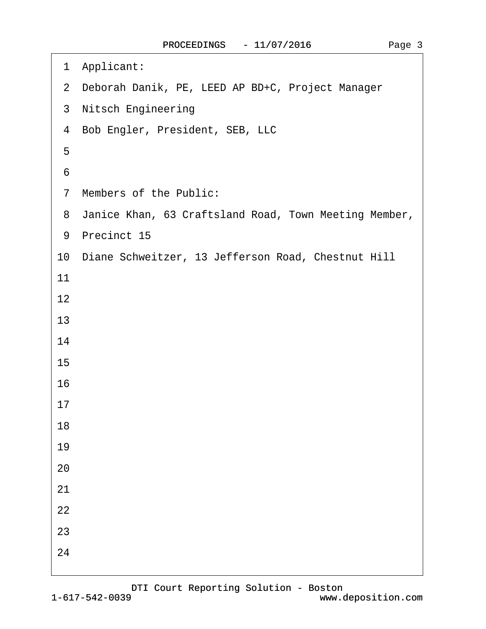$\Gamma$ 

| Applicant:<br>1                                         |
|---------------------------------------------------------|
| 2 Deborah Danik, PE, LEED AP BD+C, Project Manager      |
| 3 Nitsch Engineering                                    |
| 4 Bob Engler, President, SEB, LLC                       |
| 5                                                       |
| 6                                                       |
| 7 Members of the Public:                                |
| 8 Janice Khan, 63 Craftsland Road, Town Meeting Member, |
| 9 Precinct 15                                           |
| 10 Diane Schweitzer, 13 Jefferson Road, Chestnut Hill   |
| 11                                                      |
| 12                                                      |
| 13                                                      |
| 14                                                      |
| 15                                                      |
| 16                                                      |
| 17                                                      |
| 18                                                      |
| 19                                                      |
| 20                                                      |
| 21                                                      |
| 22                                                      |
| 23                                                      |
| 24                                                      |
|                                                         |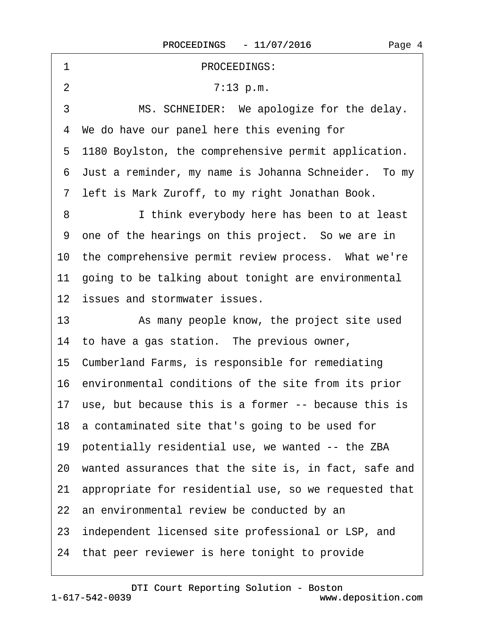| PROCEEDINGS:<br>1                                        |
|----------------------------------------------------------|
| $\overline{2}$<br>7:13 p.m.                              |
| 3<br>MS. SCHNEIDER: We apologize for the delay.          |
| 4 We do have our panel here this evening for             |
| 5 1180 Boylston, the comprehensive permit application.   |
| 6 Just a reminder, my name is Johanna Schneider. To my   |
| 7 left is Mark Zuroff, to my right Jonathan Book.        |
| 8<br>I think everybody here has been to at least         |
| 9 one of the hearings on this project. So we are in      |
| 10 the comprehensive permit review process. What we're   |
| 11 going to be talking about tonight are environmental   |
| 12 issues and stormwater issues.                         |
| 13<br>As many people know, the project site used         |
| 14 to have a gas station. The previous owner,            |
| 15 Cumberland Farms, is responsible for remediating      |
| 16 environmental conditions of the site from its prior   |
| 17 use, but because this is a former -- because this is  |
| 18 a contaminated site that's going to be used for       |
| 19 potentially residential use, we wanted -- the ZBA     |
| 20 wanted assurances that the site is, in fact, safe and |
| 21 appropriate for residential use, so we requested that |
| 22 an environmental review be conducted by an            |
| 23 independent licensed site professional or LSP, and    |
|                                                          |

[DTI Court Reporting Solution - Boston](http://www.deposition.com)

<span id="page-3-0"></span> $\Gamma$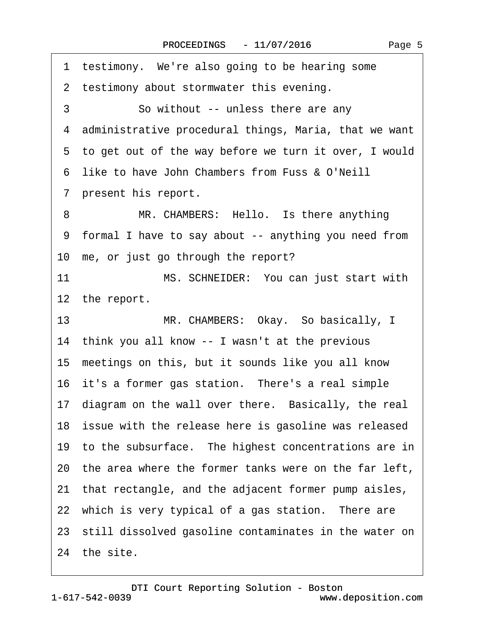<span id="page-4-0"></span>

| 1 testimony. We're also going to be hearing some         |
|----------------------------------------------------------|
| 2 testimony about stormwater this evening.               |
| So without -- unless there are any<br>3                  |
| 4 administrative procedural things, Maria, that we want  |
| 5 to get out of the way before we turn it over, I would  |
| 6 like to have John Chambers from Fuss & O'Neill         |
| 7 present his report.                                    |
| MR. CHAMBERS: Hello. Is there anything<br>8              |
| 9 formal I have to say about -- anything you need from   |
| 10 me, or just go through the report?                    |
| 11<br>MS. SCHNEIDER: You can just start with             |
| 12 the report.                                           |
| 13<br>MR. CHAMBERS: Okay. So basically, I                |
| 14 think you all know -- I wasn't at the previous        |
| 15 meetings on this, but it sounds like you all know     |
| 16 it's a former gas station. There's a real simple      |
| 17 diagram on the wall over there. Basically, the real   |
| 18 issue with the release here is gasoline was released  |
| 19 to the subsurface. The highest concentrations are in  |
| 20 the area where the former tanks were on the far left, |
| 21 that rectangle, and the adjacent former pump aisles,  |
| 22 which is very typical of a gas station. There are     |
| 23 still dissolved gasoline contaminates in the water on |
| 24 the site.                                             |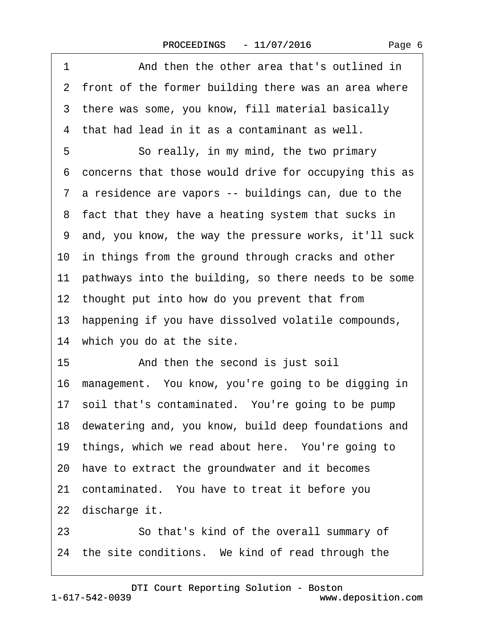<span id="page-5-0"></span>

| 1<br>And then the other area that's outlined in          |
|----------------------------------------------------------|
| 2 front of the former building there was an area where   |
| 3 there was some, you know, fill material basically      |
| 4 that had lead in it as a contaminant as well.          |
| 5<br>So really, in my mind, the two primary              |
| 6 concerns that those would drive for occupying this as  |
| 7 a residence are vapors -- buildings can, due to the    |
| 8 fact that they have a heating system that sucks in     |
| 9 and, you know, the way the pressure works, it'll suck  |
| 10 in things from the ground through cracks and other    |
| 11 pathways into the building, so there needs to be some |
| 12 thought put into how do you prevent that from         |
| 13 happening if you have dissolved volatile compounds,   |
| 14 which you do at the site.                             |
| 15<br>And then the second is just soil                   |
| 16 management. You know, you're going to be digging in   |
| 17 soil that's contaminated. You're going to be pump     |
| 18 dewatering and, you know, build deep foundations and  |
| 19 things, which we read about here. You're going to     |
| 20 have to extract the groundwater and it becomes        |
| 21 contaminated. You have to treat it before you         |
| 22 discharge it.                                         |
| 23<br>So that's kind of the overall summary of           |
| 24 the site conditions. We kind of read through the      |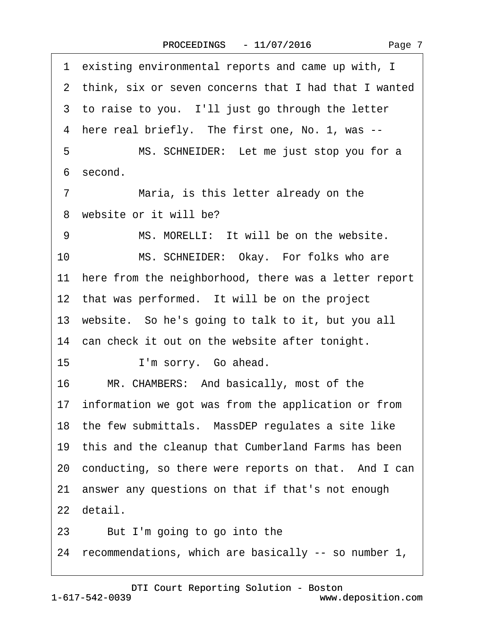<span id="page-6-0"></span>

| 1 existing environmental reports and came up with, I     |
|----------------------------------------------------------|
| 2 think, six or seven concerns that I had that I wanted  |
| 3 to raise to you. I'll just go through the letter       |
| 4 here real briefly. The first one, No. 1, was --        |
| MS. SCHNEIDER: Let me just stop you for a<br>5           |
| 6 second.                                                |
| 7<br>Maria, is this letter already on the                |
| 8 website or it will be?                                 |
| MS. MORELLI: It will be on the website.<br>9             |
| 10<br>MS. SCHNEIDER: Okay. For folks who are             |
| 11 here from the neighborhood, there was a letter report |
| 12 that was performed. It will be on the project         |
| 13 website. So he's going to talk to it, but you all     |
| 14 can check it out on the website after tonight.        |
| 15<br>I'm sorry. Go ahead.                               |
| 16<br>MR. CHAMBERS: And basically, most of the           |
| 17 information we got was from the application or from   |
| 18 the few submittals. MassDEP regulates a site like     |
| 19 this and the cleanup that Cumberland Farms has been   |
| 20 conducting, so there were reports on that. And I can  |
| 21 answer any questions on that if that's not enough     |
| 22 detail.                                               |
| But I'm going to go into the<br>23                       |
| 24 recommendations, which are basically -- so number 1,  |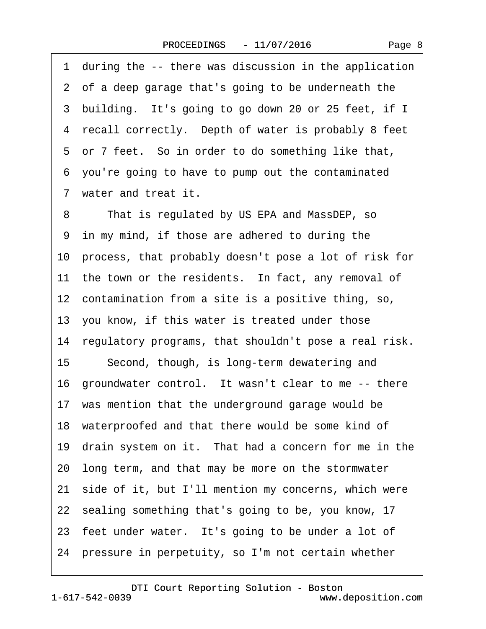<span id="page-7-0"></span>·1· during the -- there was discussion in the application 2 of a deep garage that's going to be underneath the 3 building. It's going to go down 20 or 25 feet, if I 4 recall correctly. Depth of water is probably 8 feet 5 or 7 feet. So in order to do something like that, ·6· you're going to have to pump out the contaminated ·7· water and treat it. 8 That is regulated by US EPA and MassDEP, so 9 in my mind, if those are adhered to during the 10· process, that probably doesn't pose a lot of risk for 11 the town or the residents. In fact, any removal of 12 contamination from a site is a positive thing, so, 13· you know, if this water is treated under those 14 regulatory programs, that shouldn't pose a real risk. 15 Second, though, is long-term dewatering and 16 groundwater control. It wasn't clear to me -- there 17 was mention that the underground garage would be 18 waterproofed and that there would be some kind of 19 drain system on it. That had a concern for me in the 20· long term, and that may be more on the stormwater 21 side of it, but I'll mention my concerns, which were 22 sealing something that's going to be, you know, 17 23 feet under water. It's going to be under a lot of 24· pressure in perpetuity, so I'm not certain whether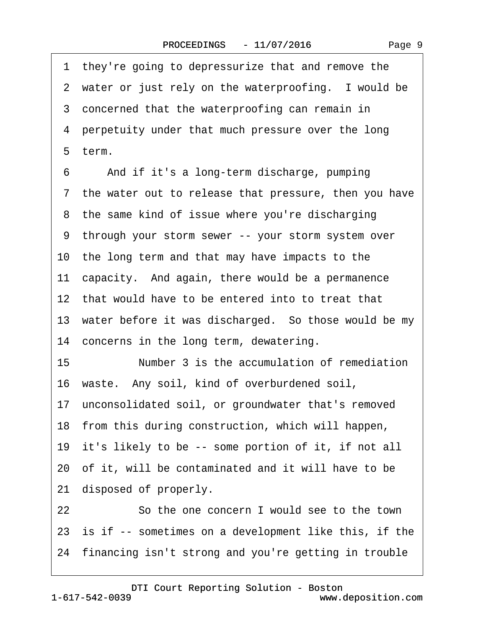|--|--|

<span id="page-8-0"></span>·1· they're going to depressurize that and remove the 2 water or just rely on the waterproofing. I would be 3 concerned that the waterproofing can remain in 4 perpetuity under that much pressure over the long ·5· term. 6 And if it's a long-term discharge, pumping 7 the water out to release that pressure, then you have 8 the same kind of issue where you're discharging ·9· through your storm sewer -- your storm system over 10 the long term and that may have impacts to the 11 capacity. And again, there would be a permanence 12 that would have to be entered into to treat that 13 water before it was discharged. So those would be my 14 concerns in the long term, dewatering. 15 Number 3 is the accumulation of remediation 16 waste. Any soil, kind of overburdened soil, 17 unconsolidated soil, or groundwater that's removed 18 from this during construction, which will happen, 19 it's likely to be -- some portion of it, if not all 20 of it, will be contaminated and it will have to be 21 disposed of properly. 22 **30 So the one concern I would see to the town** 23 is if -- sometimes on a development like this, if the 24 financing isn't strong and you're getting in trouble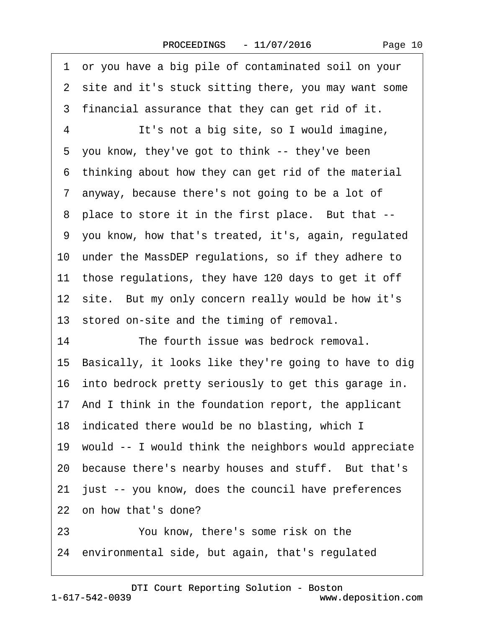<span id="page-9-0"></span>

| 1 or you have a big pile of contaminated soil on your    |
|----------------------------------------------------------|
| 2 site and it's stuck sitting there, you may want some   |
| 3 financial assurance that they can get rid of it.       |
| It's not a big site, so I would imagine,<br>4            |
| 5 you know, they've got to think -- they've been         |
| 6 thinking about how they can get rid of the material    |
| 7 anyway, because there's not going to be a lot of       |
| 8 place to store it in the first place. But that --      |
| 9 you know, how that's treated, it's, again, regulated   |
| 10 under the MassDEP regulations, so if they adhere to   |
| 11 those regulations, they have 120 days to get it off   |
| 12 site. But my only concern really would be how it's    |
| 13 stored on-site and the timing of removal.             |
| 14<br>The fourth issue was bedrock removal.              |
| 15 Basically, it looks like they're going to have to dig |
| 16 into bedrock pretty seriously to get this garage in.  |
| 17 And I think in the foundation report, the applicant   |
| 18 indicated there would be no blasting, which I         |
| 19 would -- I would think the neighbors would appreciate |
| 20 because there's nearby houses and stuff. But that's   |
| 21 just -- you know, does the council have preferences   |
| 22 on how that's done?                                   |
| You know, there's some risk on the<br>23                 |
| 24 environmental side, but again, that's regulated       |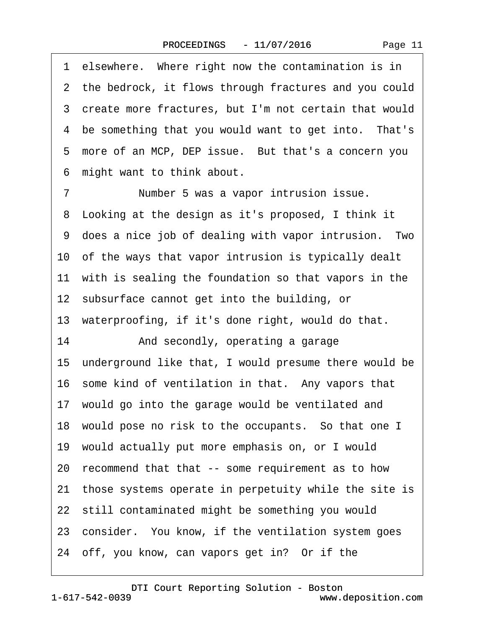Page 11

<span id="page-10-0"></span>1 elsewhere. Where right now the contamination is in 2 the bedrock, it flows through fractures and you could ·3· create more fractures, but I'm not certain that would 4 be something that you would want to get into. That's 5 more of an MCP, DEP issue. But that's a concern you ·6· might want to think about.

7 • • Number 5 was a vapor intrusion issue. 8 Looking at the design as it's proposed, I think it 9 does a nice job of dealing with vapor intrusion. Two 10 of the ways that vapor intrusion is typically dealt 11 with is sealing the foundation so that vapors in the 12 subsurface cannot get into the building, or 13 waterproofing, if it's done right, would do that. 14 • And secondly, operating a garage 15· underground like that, I would presume there would be 16 some kind of ventilation in that. Any vapors that 17 would go into the garage would be ventilated and 18 would pose no risk to the occupants. So that one I 19· would actually put more emphasis on, or I would 20· recommend that that -- some requirement as to how 21· those systems operate in perpetuity while the site is 22 still contaminated might be something you would 23 consider. You know, if the ventilation system goes 24 off, you know, can vapors get in? Or if the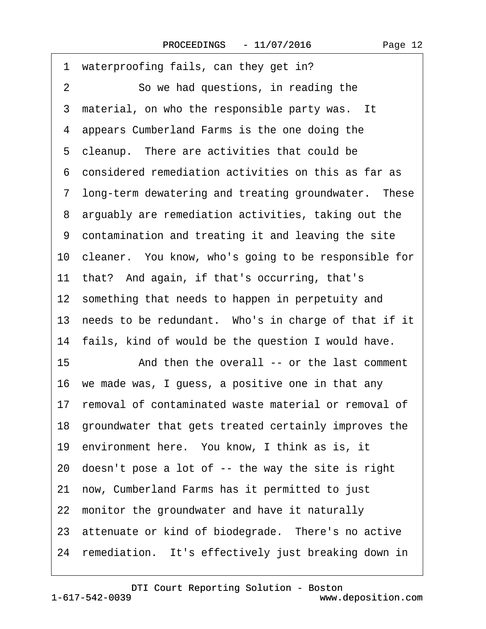<span id="page-11-0"></span>1 waterproofing fails, can they get in? 2 So we had questions, in reading the 3 material, on who the responsible party was. It 4 appears Cumberland Farms is the one doing the 5 cleanup. There are activities that could be ·6· considered remediation activities on this as far as 7 long-term dewatering and treating groundwater. These 8 arguably are remediation activities, taking out the 9 contamination and treating it and leaving the site 10 cleaner. You know, who's going to be responsible for 11 that? And again, if that's occurring, that's 12 something that needs to happen in perpetuity and 13 needs to be redundant. Who's in charge of that if it 14 fails, kind of would be the question I would have. 15 • **And then the overall -- or the last comment** 16· we made was, I guess, a positive one in that any 17 removal of contaminated waste material or removal of 18· groundwater that gets treated certainly improves the 19· environment here.· You know, I think as is, it 20· doesn't pose a lot of -- the way the site is right 21 now, Cumberland Farms has it permitted to just 22 monitor the groundwater and have it naturally 23 attenuate or kind of biodegrade. There's no active 24 remediation. It's effectively just breaking down in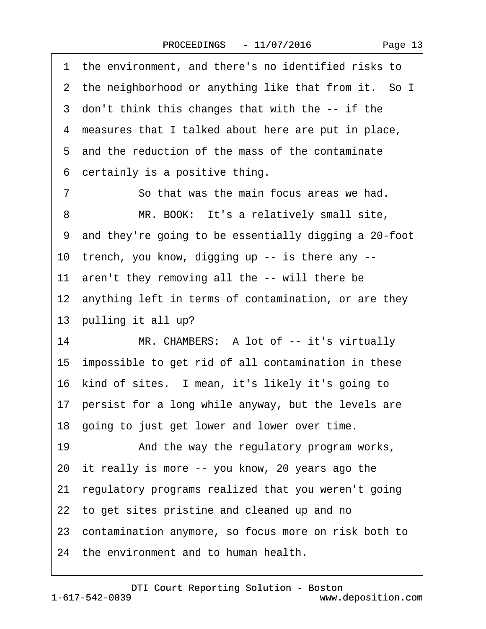<span id="page-12-0"></span>

| 1 the environment, and there's no identified risks to   |
|---------------------------------------------------------|
| 2 the neighborhood or anything like that from it. So I  |
| 3 don't think this changes that with the -- if the      |
| 4 measures that I talked about here are put in place,   |
| 5 and the reduction of the mass of the contaminate      |
| certainly is a positive thing.<br>6                     |
| So that was the main focus areas we had.<br>7           |
| MR. BOOK: It's a relatively small site,<br>8            |
| 9 and they're going to be essentially digging a 20-foot |
| 10 trench, you know, digging up -- is there any --      |
| 11 aren't they removing all the -- will there be        |
| 12 anything left in terms of contamination, or are they |
| 13 pulling it all up?                                   |
| 14<br>MR. CHAMBERS: A lot of -- it's virtually          |
| 15 impossible to get rid of all contamination in these  |
| 16 kind of sites. I mean, it's likely it's going to     |
| 17 persist for a long while anyway, but the levels are  |
| 18 going to just get lower and lower over time.         |
| 19<br>And the way the regulatory program works,         |
| 20 it really is more -- you know, 20 years ago the      |
| 21 regulatory programs realized that you weren't going  |
| 22 to get sites pristine and cleaned up and no          |
| 23 contamination anymore, so focus more on risk both to |
| 24 the environment and to human health.                 |

1-617-542-0039 [DTI Court Reporting Solution - Boston](http://www.deposition.com) www.deposition.com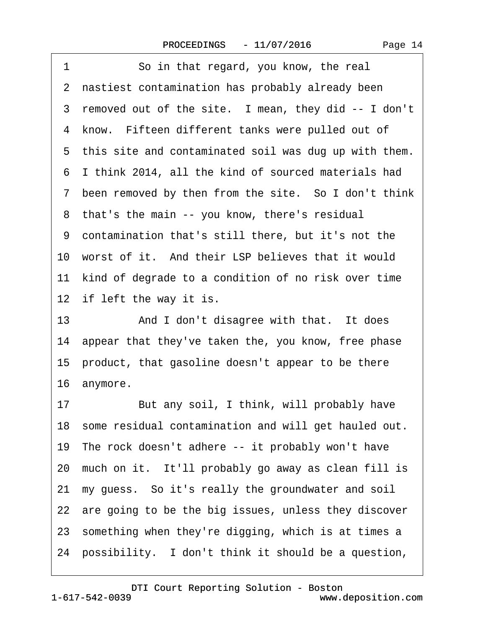<span id="page-13-0"></span>

| 1<br>So in that regard, you know, the real              |
|---------------------------------------------------------|
| 2 nastiest contamination has probably already been      |
| 3 removed out of the site. I mean, they did -- I don't  |
| 4 know. Fifteen different tanks were pulled out of      |
| 5 this site and contaminated soil was dug up with them. |
| 6 I think 2014, all the kind of sourced materials had   |
| 7 been removed by then from the site. So I don't think  |
| 8 that's the main -- you know, there's residual         |
| 9 contamination that's still there, but it's not the    |
| 10 worst of it. And their LSP believes that it would    |
| 11 kind of degrade to a condition of no risk over time  |
| 12 if left the way it is.                               |
| 13<br>And I don't disagree with that. It does           |
| 14 appear that they've taken the, you know, free phase  |
| 15 product, that gasoline doesn't appear to be there    |
| 16 anymore.                                             |
| But any soil, I think, will probably have<br>17         |
| 18 some residual contamination and will get hauled out. |
| 19 The rock doesn't adhere -- it probably won't have    |
| 20 much on it. It'll probably go away as clean fill is  |
| 21 my guess. So it's really the groundwater and soil    |
| 22 are going to be the big issues, unless they discover |
| 23 something when they're digging, which is at times a  |
| 24 possibility. I don't think it should be a question,  |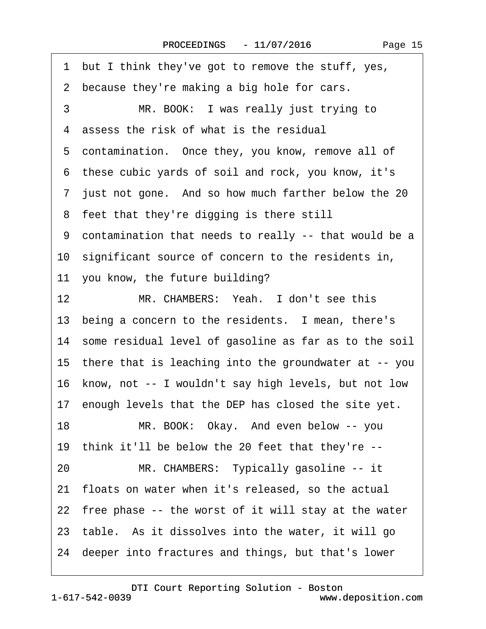<span id="page-14-0"></span>

| 1 but I think they've got to remove the stuff, yes,      |
|----------------------------------------------------------|
| 2 because they're making a big hole for cars.            |
| MR. BOOK: I was really just trying to<br>3               |
| 4 assess the risk of what is the residual                |
| 5 contamination. Once they, you know, remove all of      |
| 6 these cubic yards of soil and rock, you know, it's     |
| 7 just not gone. And so how much farther below the 20    |
| 8 feet that they're digging is there still               |
| 9 contamination that needs to really -- that would be a  |
| 10 significant source of concern to the residents in,    |
| 11 you know, the future building?                        |
| 12<br>MR. CHAMBERS: Yeah. I don't see this               |
| 13 being a concern to the residents. I mean, there's     |
| 14 some residual level of gasoline as far as to the soil |
| 15 there that is leaching into the groundwater at -- you |
| 16 know, not -- I wouldn't say high levels, but not low  |
| 17 enough levels that the DEP has closed the site yet.   |
| 18<br>MR. BOOK: Okay. And even below -- you              |
| 19 think it'll be below the 20 feet that they're --      |
| 20<br>MR. CHAMBERS: Typically gasoline -- it             |
| 21 floats on water when it's released, so the actual     |
| 22 free phase -- the worst of it will stay at the water  |
| 23 table. As it dissolves into the water, it will go     |
| 24 deeper into fractures and things, but that's lower    |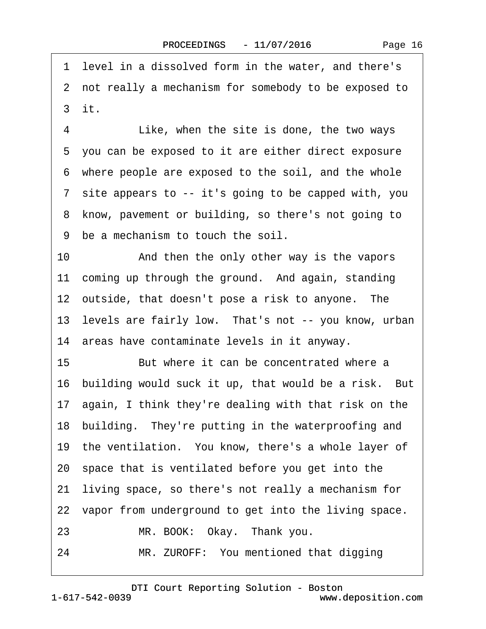<span id="page-15-0"></span>·1· level in a dissolved form in the water, and there's ·2· not really a mechanism for somebody to be exposed to ·3· it.

4 Like, when the site is done, the two ways ·5· you can be exposed to it are either direct exposure ·6· where people are exposed to the soil, and the whole ·7· site appears to -- it's going to be capped with, you 8 know, pavement or building, so there's not going to ·9· be a mechanism to touch the soil.

10 • And then the only other way is the vapors 11 coming up through the ground. And again, standing 12 outside, that doesn't pose a risk to anyone. The 13 levels are fairly low. That's not -- you know, urban 14· areas have contaminate levels in it anyway.

15· · · · · ·But where it can be concentrated where a 16 building would suck it up, that would be a risk. But 17 again, I think they're dealing with that risk on the 18 building. They're putting in the waterproofing and 19 the ventilation. You know, there's a whole layer of 20· space that is ventilated before you get into the 21· living space, so there's not really a mechanism for 22 vapor from underground to get into the living space.

- 23 MR. BOOK: Okay. Thank you.
- 24 MR. ZUROFF: You mentioned that digging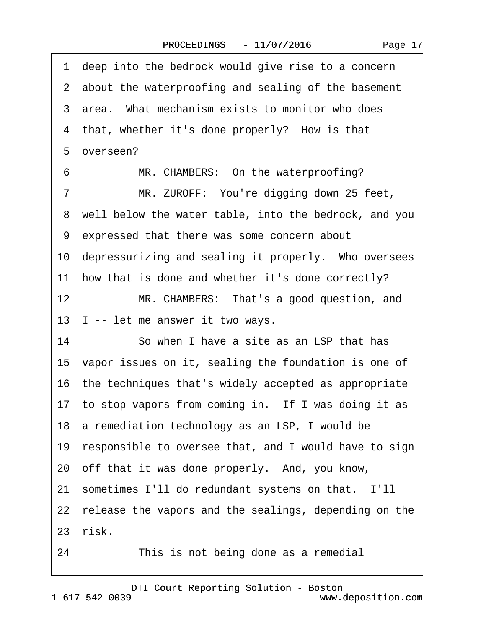|  | Page 17 |  |
|--|---------|--|
|--|---------|--|

<span id="page-16-0"></span>1 deep into the bedrock would give rise to a concern 2 about the waterproofing and sealing of the basement 3 area. What mechanism exists to monitor who does 4 that, whether it's done properly? How is that 5 overseen? 6 MR. CHAMBERS: On the waterproofing? 7 MR. ZUROFF: You're digging down 25 feet, ·8· well below the water table, into the bedrock, and you ·9· expressed that there was some concern about 10 depressurizing and sealing it properly. Who oversees 11 how that is done and whether it's done correctly? 12 MR. CHAMBERS: That's a good question, and 13 I -- let me answer it two ways. 14 So when I have a site as an LSP that has 15 vapor issues on it, sealing the foundation is one of 16· the techniques that's widely accepted as appropriate 17 to stop vapors from coming in. If I was doing it as 18 a remediation technology as an LSP, I would be 19 responsible to oversee that, and I would have to sign 20 off that it was done properly. And, you know, 21· sometimes I'll do redundant systems on that.· I'll 22 release the vapors and the sealings, depending on the 23 risk.

24 This is not being done as a remedial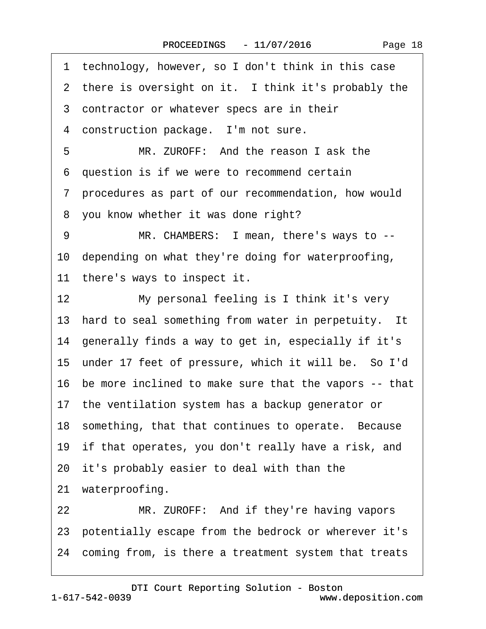<span id="page-17-0"></span>

| 1 technology, however, so I don't think in this case        |
|-------------------------------------------------------------|
| 2 there is oversight on it. I think it's probably the       |
| 3 contractor or whatever specs are in their                 |
| 4 construction package. I'm not sure.                       |
| 5<br>MR. ZUROFF: And the reason I ask the                   |
| 6 question is if we were to recommend certain               |
| 7 procedures as part of our recommendation, how would       |
| 8 you know whether it was done right?                       |
| 9<br>MR. CHAMBERS: I mean, there's ways to --               |
| 10 depending on what they're doing for waterproofing,       |
| 11 there's ways to inspect it.                              |
| 12 <sub>2</sub><br>My personal feeling is I think it's very |
| 13 hard to seal something from water in perpetuity. It      |
| 14 generally finds a way to get in, especially if it's      |
| 15 under 17 feet of pressure, which it will be. So I'd      |
| 16 be more inclined to make sure that the vapors -- that    |
| 17 the ventilation system has a backup generator or         |
| 18 something, that that continues to operate. Because       |
| 19 if that operates, you don't really have a risk, and      |
| 20 it's probably easier to deal with than the               |
| 21 waterproofing.                                           |
| 22<br>MR. ZUROFF: And if they're having vapors              |
| 23 potentially escape from the bedrock or wherever it's     |
| 24 coming from, is there a treatment system that treats     |
|                                                             |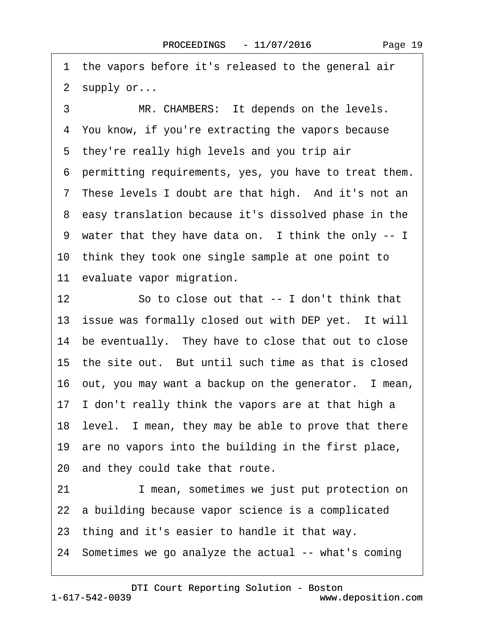<span id="page-18-0"></span>1 the vapors before it's released to the general air 2 supply or...

3 MR. CHAMBERS: It depends on the levels. 4 You know, if you're extracting the vapors because 5 they're really high levels and you trip air ·6· permitting requirements, yes, you have to treat them. 7 These levels I doubt are that high. And it's not an ·8· easy translation because it's dissolved phase in the 9 water that they have data on. I think the only -- I 10· think they took one single sample at one point to 11 evaluate vapor migration. 12 So to close out that -- I don't think that 13 issue was formally closed out with DEP yet. It will 14 be eventually. They have to close that out to close 15 the site out. But until such time as that is closed

16 out, you may want a backup on the generator. I mean,

17· I don't really think the vapors are at that high a

18 level. I mean, they may be able to prove that there

19 are no vapors into the building in the first place,

20 and they could take that route.

21 I mean, sometimes we just put protection on

22 a building because vapor science is a complicated

23· thing and it's easier to handle it that way.

24· Sometimes we go analyze the actual -- what's coming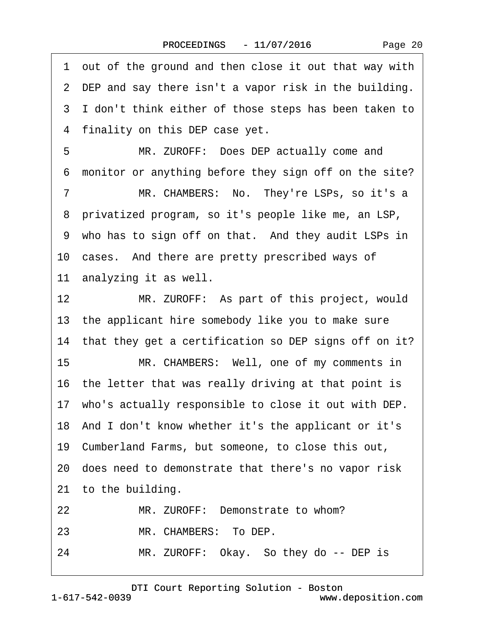<span id="page-19-0"></span>·1· out of the ground and then close it out that way with 2 DEP and say there isn't a vapor risk in the building. ·3· I don't think either of those steps has been taken to 4 finality on this DEP case yet.

5 MR. ZUROFF: Does DEP actually come and ·6· monitor or anything before they sign off on the site?

7 MR. CHAMBERS: No. They're LSPs, so it's a 8 privatized program, so it's people like me, an LSP, 9 who has to sign off on that. And they audit LSPs in 10 cases. And there are pretty prescribed ways of 11 analyzing it as well.

12 MR. ZUROFF: As part of this project, would 13· the applicant hire somebody like you to make sure 14 that they get a certification so DEP signs off on it?

15 MR. CHAMBERS: Well, one of my comments in 16 the letter that was really driving at that point is

17 who's actually responsible to close it out with DEP.

18· And I don't know whether it's the applicant or it's

19· Cumberland Farms, but someone, to close this out,

20· does need to demonstrate that there's no vapor risk

21 to the building.

22 MR. ZUROFF: Demonstrate to whom?

23 MR. CHAMBERS: To DEP.

24 MR. ZUROFF: Okay. So they do -- DEP is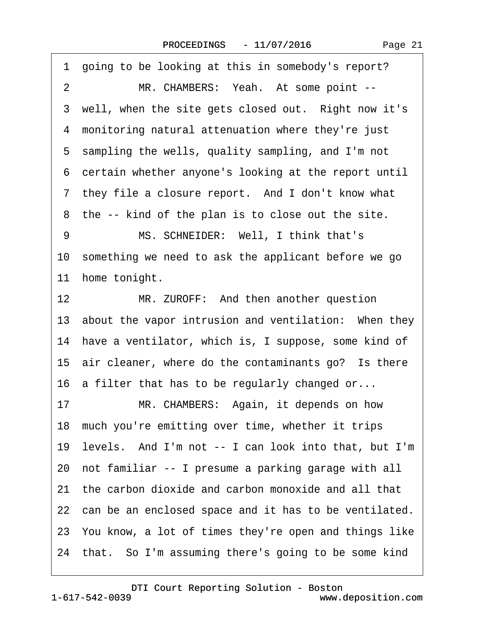<span id="page-20-0"></span>

| 1 going to be looking at this in somebody's report?       |
|-----------------------------------------------------------|
| $\overline{2}$<br>MR. CHAMBERS: Yeah. At some point --    |
| 3 well, when the site gets closed out. Right now it's     |
| 4 monitoring natural attenuation where they're just       |
| 5 sampling the wells, quality sampling, and I'm not       |
| 6 certain whether anyone's looking at the report until    |
| 7 they file a closure report. And I don't know what       |
| 8 the -- kind of the plan is to close out the site.       |
| MS. SCHNEIDER: Well, I think that's<br>9                  |
| 10 something we need to ask the applicant before we go    |
| home tonight.<br>11                                       |
| 12 <sup>12</sup><br>MR. ZUROFF: And then another question |
| 13 about the vapor intrusion and ventilation: When they   |
| 14 have a ventilator, which is, I suppose, some kind of   |
| 15 air cleaner, where do the contaminants go? Is there    |
| 16 a filter that has to be regularly changed or           |
| MR. CHAMBERS: Again, it depends on how<br>17              |
| 18 much you're emitting over time, whether it trips       |
| 19 levels. And I'm not -- I can look into that, but I'm   |
| 20 not familiar -- I presume a parking garage with all    |
| 21 the carbon dioxide and carbon monoxide and all that    |
| 22 can be an enclosed space and it has to be ventilated.  |
| 23 You know, a lot of times they're open and things like  |
| 24 that. So I'm assuming there's going to be some kind    |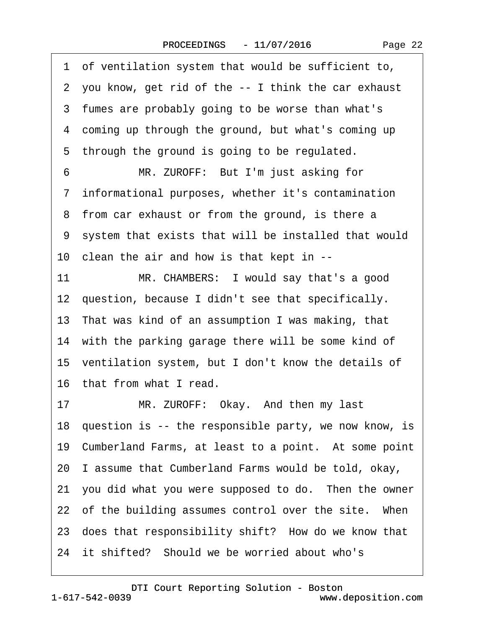<span id="page-21-0"></span>·1· of ventilation system that would be sufficient to, ·2· you know, get rid of the -- I think the car exhaust 3 fumes are probably going to be worse than what's ·4· coming up through the ground, but what's coming up 5 through the ground is going to be regulated. 6 MR. ZUROFF: But I'm just asking for ·7· informational purposes, whether it's contamination 8 from car exhaust or from the ground, is there a ·9· system that exists that will be installed that would 10 clean the air and how is that kept in --11 MR. CHAMBERS: I would say that's a good 12 question, because I didn't see that specifically. 13· That was kind of an assumption I was making, that 14 with the parking garage there will be some kind of 15 ventilation system, but I don't know the details of 16· that from what I read. 17 MR. ZUROFF: Okay. And then my last 18 question is -- the responsible party, we now know, is 19 Cumberland Farms, at least to a point. At some point 20· I assume that Cumberland Farms would be told, okay, 21 you did what you were supposed to do. Then the owner 22 of the building assumes control over the site. When 23 does that responsibility shift? How do we know that 24 it shifted? Should we be worried about who's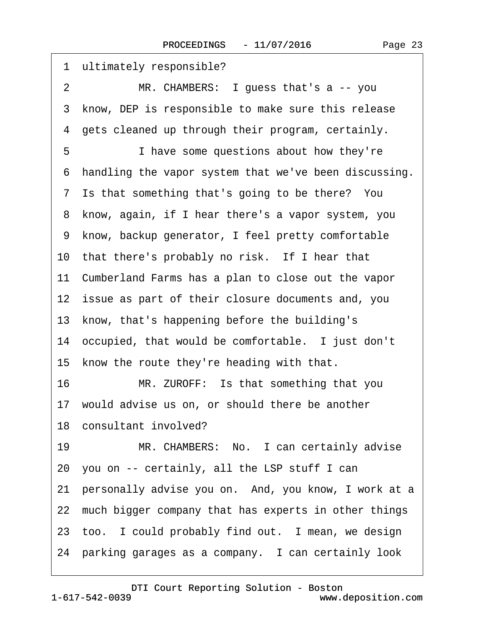<span id="page-22-0"></span>

| 1 ultimately responsible?                               |
|---------------------------------------------------------|
| MR. CHAMBERS: I guess that's a -- you<br>2              |
| 3 know, DEP is responsible to make sure this release    |
| 4 gets cleaned up through their program, certainly.     |
| 5<br>I have some questions about how they're            |
| 6 handling the vapor system that we've been discussing. |
| 7 Is that something that's going to be there? You       |
| 8 know, again, if I hear there's a vapor system, you    |
| 9 know, backup generator, I feel pretty comfortable     |
| 10 that there's probably no risk. If I hear that        |
| 11 Cumberland Farms has a plan to close out the vapor   |
| 12 issue as part of their closure documents and, you    |
| 13 know, that's happening before the building's         |
| 14 occupied, that would be comfortable. I just don't    |
| 15 know the route they're heading with that.            |
| 16<br>MR. ZUROFF: Is that something that you            |
| 17 would advise us on, or should there be another       |
| 18 consultant involved?                                 |
| MR. CHAMBERS: No. I can certainly advise<br>19          |
| 20 you on -- certainly, all the LSP stuff I can         |
| 21 personally advise you on. And, you know, I work at a |
| 22 much bigger company that has experts in other things |
| 23 too. I could probably find out. I mean, we design    |
| 24 parking garages as a company. I can certainly look   |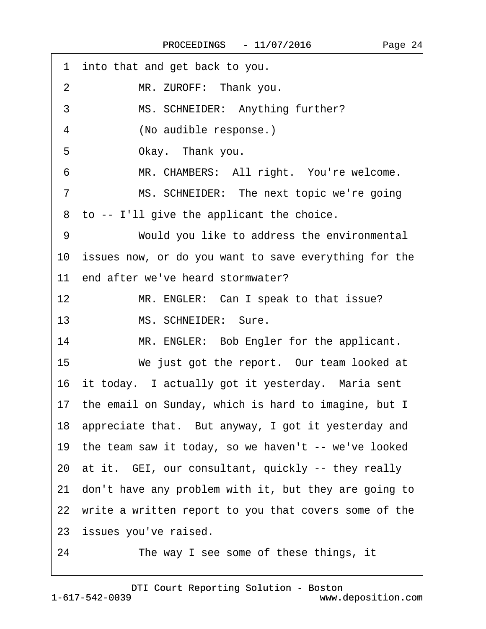<span id="page-23-0"></span>

| into that and get back to you.<br>1                         |
|-------------------------------------------------------------|
| MR. ZUROFF: Thank you.<br>$\overline{2}$                    |
| 3<br>MS. SCHNEIDER: Anything further?                       |
| (No audible response.)<br>4                                 |
| 5<br>Okay. Thank you.                                       |
| MR. CHAMBERS: All right. You're welcome.<br>6               |
| MS. SCHNEIDER: The next topic we're going<br>$\overline{7}$ |
| 8 to -- I'll give the applicant the choice.                 |
| Would you like to address the environmental<br>9            |
| 10 issues now, or do you want to save everything for the    |
| 11 end after we've heard stormwater?                        |
| 12<br>MR. ENGLER: Can I speak to that issue?                |
| MS. SCHNEIDER: Sure.<br>13                                  |
| 14<br>MR. ENGLER: Bob Engler for the applicant.             |
| 15<br>We just got the report. Our team looked at            |
| 16 it today. I actually got it yesterday. Maria sent        |
| 17 the email on Sunday, which is hard to imagine, but I     |
| 18 appreciate that. But anyway, I got it yesterday and      |
| 19 the team saw it today, so we haven't -- we've looked     |
| 20 at it. GEI, our consultant, quickly -- they really       |
| 21 don't have any problem with it, but they are going to    |
| 22 write a written report to you that covers some of the    |
| 23 issues you've raised.                                    |
| The way I see some of these things, it<br>24                |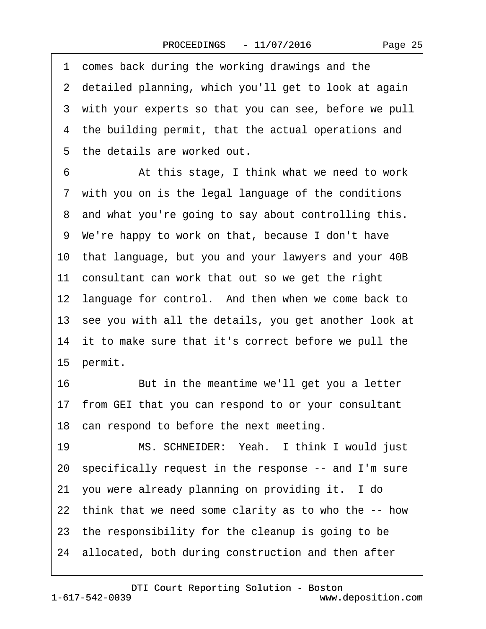Page 25

<span id="page-24-0"></span>1 comes back during the working drawings and the 2 detailed planning, which you'll get to look at again 3 with your experts so that you can see, before we pull 4 the building permit, that the actual operations and 5 the details are worked out. 6 **4. • At this stage, I think what we need to work** 7 with you on is the legal language of the conditions 8 and what you're going to say about controlling this. ·9· We're happy to work on that, because I don't have 10· that language, but you and your lawyers and your 40B 11 consultant can work that out so we get the right

12 language for control. And then when we come back to

13 see you with all the details, you get another look at

14 it to make sure that it's correct before we pull the

15 permit.

16 But in the meantime we'll get you a letter

17· from GEI that you can respond to or your consultant

18 can respond to before the next meeting.

19 MS. SCHNEIDER: Yeah. I think I would just 20· specifically request in the response -- and I'm sure 21· you were already planning on providing it.· I do 22· think that we need some clarity as to who the -- how 23· the responsibility for the cleanup is going to be 24· allocated, both during construction and then after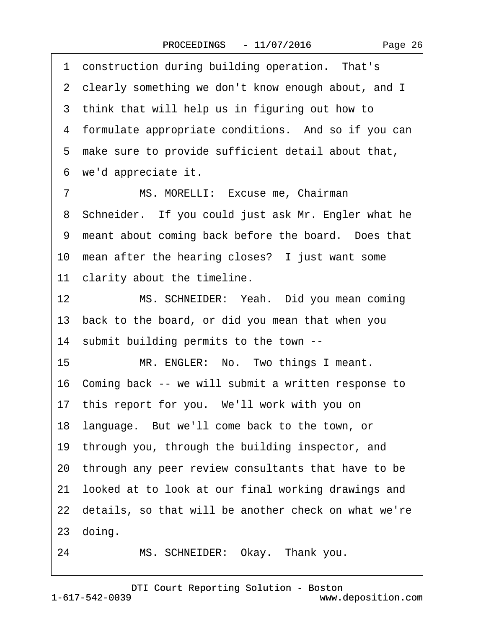<span id="page-25-0"></span>1 construction during building operation. That's

2 clearly something we don't know enough about, and I

3 think that will help us in figuring out how to 4 formulate appropriate conditions. And so if you can 5 make sure to provide sufficient detail about that, 6 we'd appreciate it. 7 MS. MORELLI: Excuse me, Chairman 8 Schneider. If you could just ask Mr. Engler what he 9 meant about coming back before the board. Does that 10 mean after the hearing closes? I just want some 11 clarity about the timeline. 12 MS. SCHNEIDER: Yeah. Did you mean coming 13· back to the board, or did you mean that when you 14· submit building permits to the town -- 15 MR. ENGLER: No. Two things I meant. 16· Coming back -- we will submit a written response to 17 this report for you. We'll work with you on 18 language. But we'll come back to the town, or 19 through you, through the building inspector, and 20· through any peer review consultants that have to be 21 looked at to look at our final working drawings and 22 details, so that will be another check on what we're 24 MS. SCHNEIDER: Okay. Thank you.

23 doing.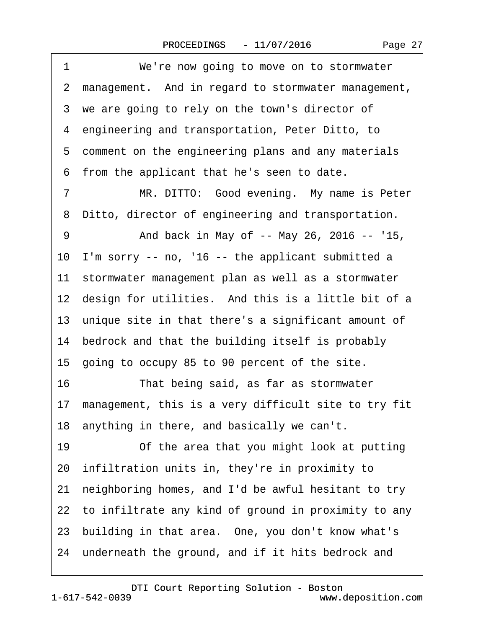|  | Page 27 |
|--|---------|
|--|---------|

<span id="page-26-0"></span>

| 1  | We're now going to move on to stormwater                |
|----|---------------------------------------------------------|
|    | 2 management. And in regard to stormwater management,   |
|    | 3 we are going to rely on the town's director of        |
|    | 4 engineering and transportation, Peter Ditto, to       |
|    | 5 comment on the engineering plans and any materials    |
|    | 6 from the applicant that he's seen to date.            |
| 7  | MR. DITTO: Good evening. My name is Peter               |
| 8  | Ditto, director of engineering and transportation.      |
| 9  | And back in May of -- May 26, 2016 -- '15,              |
| 10 | I'm sorry -- no, '16 -- the applicant submitted a       |
|    | 11 stormwater management plan as well as a stormwater   |
|    | 12 design for utilities. And this is a little bit of a  |
|    | 13 unique site in that there's a significant amount of  |
|    | 14 bedrock and that the building itself is probably     |
|    | 15 going to occupy 85 to 90 percent of the site.        |
| 16 | That being said, as far as stormwater                   |
|    | 17 management, this is a very difficult site to try fit |
|    | 18 anything in there, and basically we can't.           |
| 19 | Of the area that you might look at putting              |
|    | 20 infiltration units in, they're in proximity to       |
| 21 | neighboring homes, and I'd be awful hesitant to try     |
|    | 22 to infiltrate any kind of ground in proximity to any |
|    | 23 building in that area. One, you don't know what's    |
|    | 24 underneath the ground, and if it hits bedrock and    |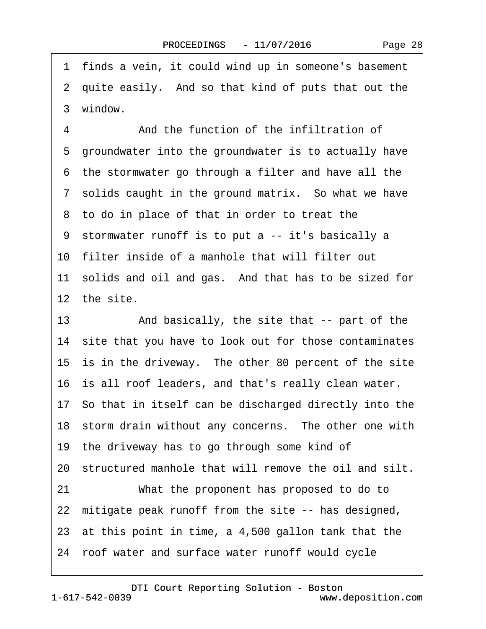<span id="page-27-0"></span>·1· finds a vein, it could wind up in someone's basement 2 quite easily. And so that kind of puts that out the 3 window. 4 **4** • • And the function of the infiltration of 5 groundwater into the groundwater is to actually have ·6· the stormwater go through a filter and have all the 7 solids caught in the ground matrix. So what we have 8 to do in place of that in order to treat the ·9· stormwater runoff is to put a -- it's basically a 10· filter inside of a manhole that will filter out 11 solids and oil and gas. And that has to be sized for 12 the site. 13 • And basically, the site that -- part of the 14 site that you have to look out for those contaminates 15 is in the driveway. The other 80 percent of the site 16 is all roof leaders, and that's really clean water. 17· So that in itself can be discharged directly into the 18 storm drain without any concerns. The other one with 19 the driveway has to go through some kind of 20 structured manhole that will remove the oil and silt. 21 What the proponent has proposed to do to 22 mitigate peak runoff from the site -- has designed, 23 at this point in time, a 4,500 gallon tank that the 24· roof water and surface water runoff would cycle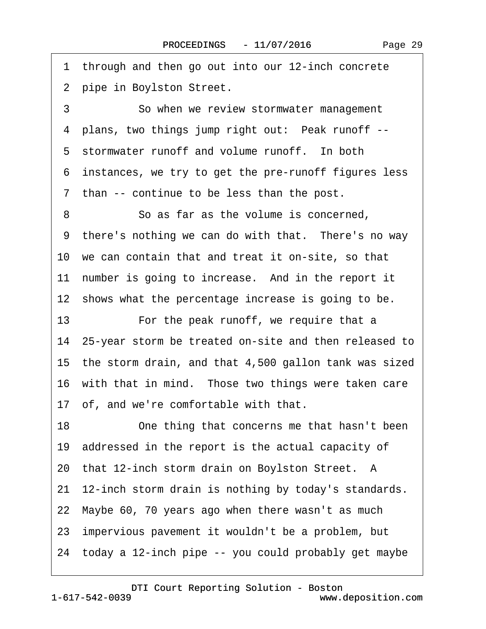<span id="page-28-0"></span>1 through and then go out into our 12-inch concrete 2 pipe in Boylston Street.

3 **3** · · So when we review stormwater management 4 plans, two things jump right out: Peak runoff --5 stormwater runoff and volume runoff. In both ·6· instances, we try to get the pre-runoff figures less ·7· than -- continue to be less than the post.

8 **8 So as far as the volume is concerned.** 9 there's nothing we can do with that. There's no way 10 we can contain that and treat it on-site, so that 11 number is going to increase. And in the report it 12 shows what the percentage increase is going to be.

13 • For the peak runoff, we require that a 14· 25-year storm be treated on-site and then released to 15· the storm drain, and that 4,500 gallon tank was sized 16 with that in mind. Those two things were taken care 17· of, and we're comfortable with that.

18 One thing that concerns me that hasn't been 19 addressed in the report is the actual capacity of 20 that 12-inch storm drain on Boylston Street. A 21 12-inch storm drain is nothing by today's standards. 22· Maybe 60, 70 years ago when there wasn't as much 23· impervious pavement it wouldn't be a problem, but 24· today a 12-inch pipe -- you could probably get maybe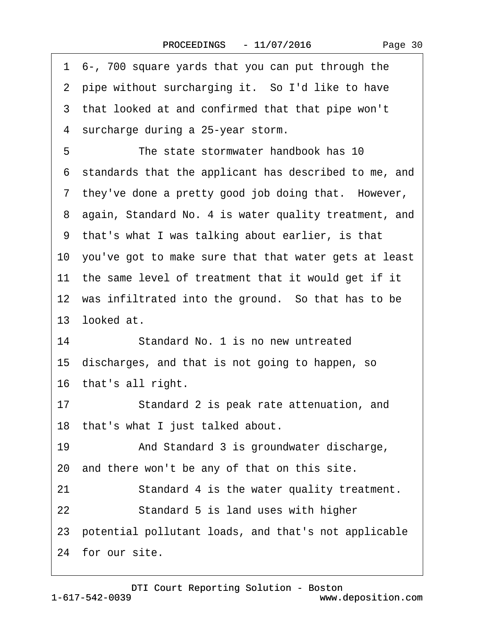| Page 30 |  |
|---------|--|
|---------|--|

<span id="page-29-0"></span>

| 1 6-, 700 square yards that you can put through the      |
|----------------------------------------------------------|
| 2 pipe without surcharging it. So I'd like to have       |
| 3 that looked at and confirmed that that pipe won't      |
| 4 surcharge during a 25-year storm.                      |
| 5<br>The state stormwater handbook has 10                |
| 6 standards that the applicant has described to me, and  |
| 7 they've done a pretty good job doing that. However,    |
| 8 again, Standard No. 4 is water quality treatment, and  |
| 9 that's what I was talking about earlier, is that       |
| 10 you've got to make sure that that water gets at least |
| 11 the same level of treatment that it would get if it   |
| 12 was infiltrated into the ground. So that has to be    |
| 13 looked at.                                            |
| 14<br>Standard No. 1 is no new untreated                 |
| 15 discharges, and that is not going to happen, so       |
| 16 that's all right.                                     |
| Standard 2 is peak rate attenuation, and<br>17           |
| 18 that's what I just talked about.                      |
| 19<br>And Standard 3 is groundwater discharge,           |
| 20 and there won't be any of that on this site.          |
| Standard 4 is the water quality treatment.<br>21         |
| 22<br>Standard 5 is land uses with higher                |
| 23 potential pollutant loads, and that's not applicable  |
| 24 for our site.                                         |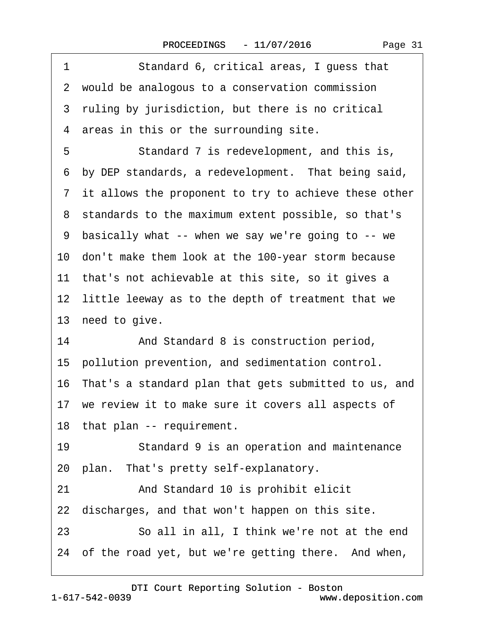| Standard 6, critical areas, I guess that<br>1            |
|----------------------------------------------------------|
| 2 would be analogous to a conservation commission        |
| 3 ruling by jurisdiction, but there is no critical       |
| 4 areas in this or the surrounding site.                 |
| Standard 7 is redevelopment, and this is,<br>5           |
| 6 by DEP standards, a redevelopment. That being said,    |
| 7 it allows the proponent to try to achieve these other  |
| 8 standards to the maximum extent possible, so that's    |
| 9 basically what -- when we say we're going to -- we     |
| 10 don't make them look at the 100-year storm because    |
| 11 that's not achievable at this site, so it gives a     |
| 12 little leeway as to the depth of treatment that we    |
| 13 need to give.                                         |
| 14<br>And Standard 8 is construction period,             |
| 15 pollution prevention, and sedimentation control.      |
| 16 That's a standard plan that gets submitted to us, and |
| 17 we review it to make sure it covers all aspects of    |
| 18 that plan -- requirement.                             |
| 19<br>Standard 9 is an operation and maintenance         |
| 20 plan. That's pretty self-explanatory.                 |
| 21<br>And Standard 10 is prohibit elicit                 |
| 22 discharges, and that won't happen on this site.       |
| So all in all, I think we're not at the end<br>23        |
| 24 of the road yet, but we're getting there. And when,   |

[DTI Court Reporting Solution - Boston](http://www.deposition.com)

<span id="page-30-0"></span> $\lceil$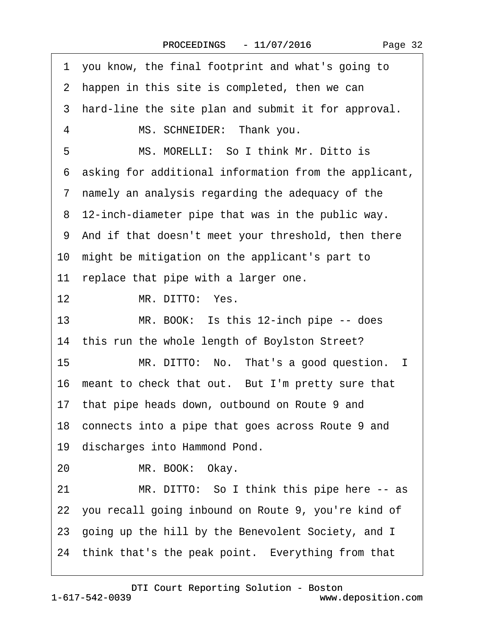<span id="page-31-0"></span>·1· you know, the final footprint and what's going to 2 happen in this site is completed, then we can 3 hard-line the site plan and submit it for approval. 4 MS. SCHNEIDER: Thank you. 5 MS. MORELLI: So I think Mr. Ditto is ·6· asking for additional information from the applicant, ·7· namely an analysis regarding the adequacy of the 8 12-inch-diameter pipe that was in the public way. 9 And if that doesn't meet your threshold, then there 10 might be mitigation on the applicant's part to 11 replace that pipe with a larger one. 12 MR. DITTO: Yes. 13 MR. BOOK: Is this 12-inch pipe -- does 14 this run the whole length of Boylston Street? 15 MR. DITTO: No. That's a good question. I 16 meant to check that out. But I'm pretty sure that 17 that pipe heads down, outbound on Route 9 and 18 connects into a pipe that goes across Route 9 and 19 discharges into Hammond Pond. 20 MR. BOOK: Okay. 21 MR. DITTO: So I think this pipe here -- as 22· you recall going inbound on Route 9, you're kind of 23· going up the hill by the Benevolent Society, and I 24 think that's the peak point. Everything from that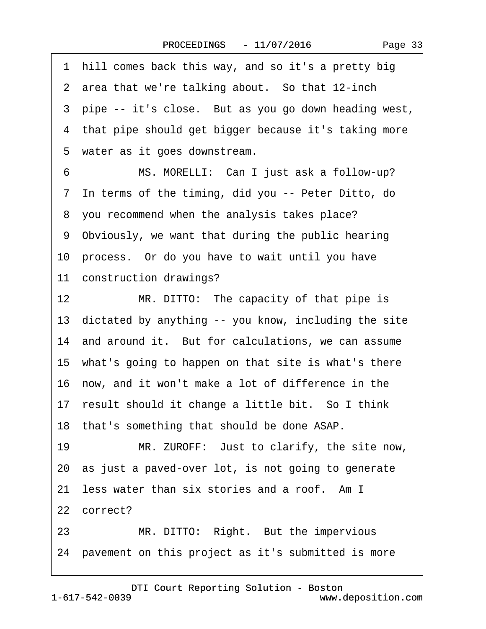<span id="page-32-0"></span>·1· hill comes back this way, and so it's a pretty big 2 area that we're talking about. So that 12-inch 3 pipe -- it's close. But as you go down heading west, 4 that pipe should get bigger because it's taking more 5 water as it goes downstream. 6 MS. MORELLI: Can I just ask a follow-up? ·7· In terms of the timing, did you -- Peter Ditto, do ·8· you recommend when the analysis takes place? ·9· Obviously, we want that during the public hearing 10· process.· Or do you have to wait until you have 11 construction drawings? 12 MR. DITTO: The capacity of that pipe is 13 dictated by anything -- you know, including the site 14 and around it. But for calculations, we can assume 15· what's going to happen on that site is what's there 16· now, and it won't make a lot of difference in the 17 result should it change a little bit. So I think 18· that's something that should be done ASAP. 19 MR. ZUROFF: Just to clarify, the site now, 20· as just a paved-over lot, is not going to generate 21 less water than six stories and a roof. Am I 22 correct? 23 MR. DITTO: Right. But the impervious 24· pavement on this project as it's submitted is more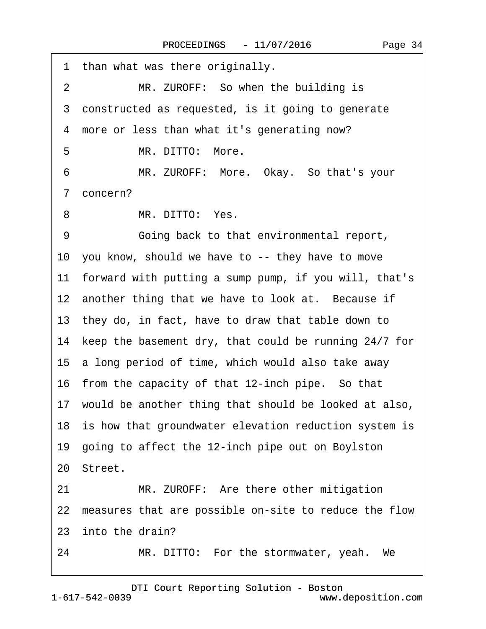<span id="page-33-0"></span>

| 1 than what was there originally.                        |
|----------------------------------------------------------|
| MR. ZUROFF: So when the building is<br>2                 |
| 3 constructed as requested, is it going to generate      |
| 4 more or less than what it's generating now?            |
| MR. DITTO: More.<br>5                                    |
| MR. ZUROFF: More. Okay. So that's your<br>6              |
| 7 concern?                                               |
| MR. DITTO: Yes.<br>8                                     |
| 9<br>Going back to that environmental report,            |
| 10 you know, should we have to -- they have to move      |
| 11 forward with putting a sump pump, if you will, that's |
| 12 another thing that we have to look at. Because if     |
| 13 they do, in fact, have to draw that table down to     |
| 14 keep the basement dry, that could be running 24/7 for |
| 15 a long period of time, which would also take away     |
| 16 from the capacity of that 12-inch pipe. So that       |
| 17 would be another thing that should be looked at also, |
| 18 is how that groundwater elevation reduction system is |
| 19 going to affect the 12-inch pipe out on Boylston      |
| 20 Street.                                               |
| MR. ZUROFF: Are there other mitigation<br>21             |
| 22 measures that are possible on-site to reduce the flow |
| 23 into the drain?                                       |
|                                                          |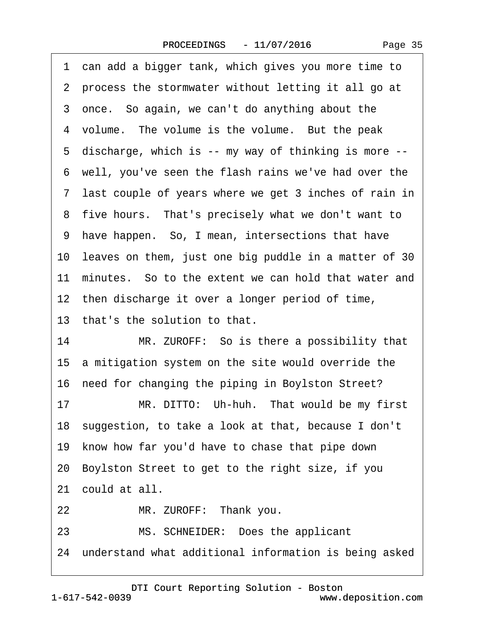<span id="page-34-0"></span>1 can add a bigger tank, which gives you more time to ·2· process the stormwater without letting it all go at 3 once. So again, we can't do anything about the 4 volume. The volume is the volume. But the peak ·5· discharge, which is -- my way of thinking is more -- ·6· well, you've seen the flash rains we've had over the ·7· last couple of years where we get 3 inches of rain in 8 five hours. That's precisely what we don't want to ·9· have happen.· So, I mean, intersections that have 10 leaves on them, just one big puddle in a matter of 30 11 minutes. So to the extent we can hold that water and 12 then discharge it over a longer period of time, 13 that's the solution to that. 14 MR. ZUROFF: So is there a possibility that 15 a mitigation system on the site would override the 16· need for changing the piping in Boylston Street?

17 MR. DITTO: Uh-huh. That would be my first 18· suggestion, to take a look at that, because I don't 19· know how far you'd have to chase that pipe down 20· Boylston Street to get to the right size, if you

21 could at all.

22 MR. ZUROFF: Thank you.

23 MS. SCHNEIDER: Does the applicant

24 understand what additional information is being asked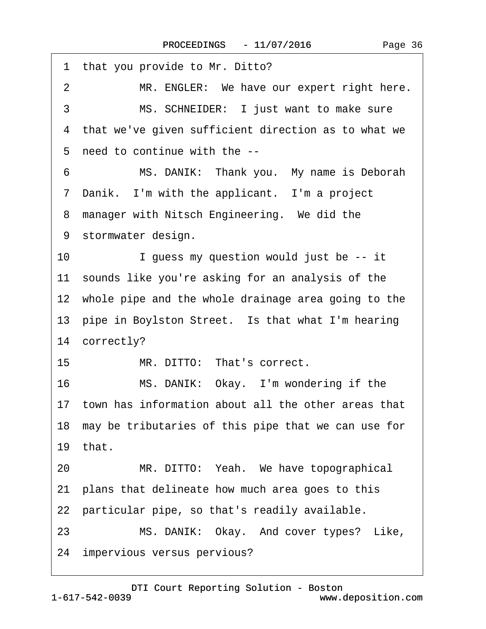<span id="page-35-0"></span>1 that you provide to Mr. Ditto? 2 MR. ENGLER: We have our expert right here. 3 MS. SCHNEIDER: I just want to make sure 4 that we've given sufficient direction as to what we ·5· need to continue with the -- 6 MS. DANIK: Thank you. My name is Deborah 7 Danik. I'm with the applicant. I'm a project 8 manager with Nitsch Engineering. We did the 9 stormwater design. 10 I guess my question would just be -- it 11 sounds like you're asking for an analysis of the 12 whole pipe and the whole drainage area going to the 13 pipe in Boylston Street. Is that what I'm hearing 14 correctly? 15 MR. DITTO: That's correct. 16 MS. DANIK: Okay. I'm wondering if the 17 town has information about all the other areas that 18· may be tributaries of this pipe that we can use for 19 $that$ 20 MR. DITTO: Yeah. We have topographical 21· plans that delineate how much area goes to this 22 particular pipe, so that's readily available. 23 MS. DANIK: Okay. And cover types? Like, 24 impervious versus pervious?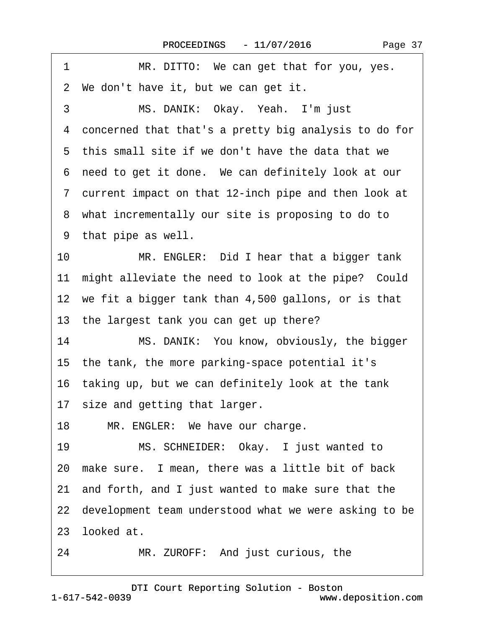<span id="page-36-0"></span>

| MR. DITTO: We can get that for you, yes.<br>1              |
|------------------------------------------------------------|
| 2 We don't have it, but we can get it.                     |
| MS. DANIK: Okay. Yeah. I'm just<br>3                       |
| concerned that that's a pretty big analysis to do for<br>4 |
| 5 this small site if we don't have the data that we        |
| 6 need to get it done. We can definitely look at our       |
| 7 current impact on that 12-inch pipe and then look at     |
| 8 what incrementally our site is proposing to do to        |
| 9 that pipe as well.                                       |
| 10<br>MR. ENGLER: Did I hear that a bigger tank            |
| 11 might alleviate the need to look at the pipe? Could     |
| 12 we fit a bigger tank than 4,500 gallons, or is that     |
| 13 the largest tank you can get up there?                  |
| 14<br>MS. DANIK: You know, obviously, the bigger           |
| 15 the tank, the more parking-space potential it's         |
| 16 taking up, but we can definitely look at the tank       |
| 17 size and getting that larger.                           |
| 18<br>MR. ENGLER: We have our charge.                      |
| MS. SCHNEIDER: Okay. I just wanted to<br>19                |
| 20 make sure. I mean, there was a little bit of back       |
| 21 and forth, and I just wanted to make sure that the      |
| 22 development team understood what we were asking to be   |
| 23 looked at.                                              |
| MR. ZUROFF: And just curious, the<br>24                    |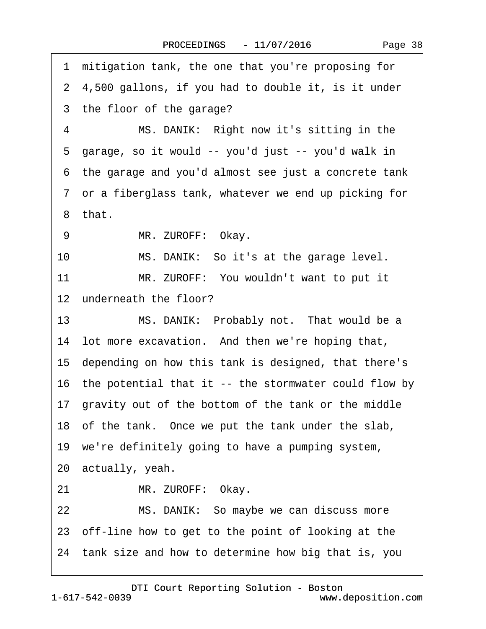<span id="page-37-0"></span>1 mitigation tank, the one that you're proposing for ·2· 4,500 gallons, if you had to double it, is it under 3 the floor of the garage? 4 MS. DANIK: Right now it's sitting in the ·5· garage, so it would -- you'd just -- you'd walk in ·6· the garage and you'd almost see just a concrete tank ·7· or a fiberglass tank, whatever we end up picking for ·8· that. 9 MR. ZUROFF: Okay. 10 MS. DANIK: So it's at the garage level. 11 MR. ZUROFF: You wouldn't want to put it 12 underneath the floor? 13 MS. DANIK: Probably not. That would be a 14 lot more excavation. And then we're hoping that, 15· depending on how this tank is designed, that there's 16· the potential that it -- the stormwater could flow by 17· gravity out of the bottom of the tank or the middle 18 of the tank. Once we put the tank under the slab, 19 we're definitely going to have a pumping system, 20· actually, yeah. 21 MR. ZUROFF: Okay. 22 MS. DANIK: So maybe we can discuss more 23· off-line how to get to the point of looking at the 24· tank size and how to determine how big that is, you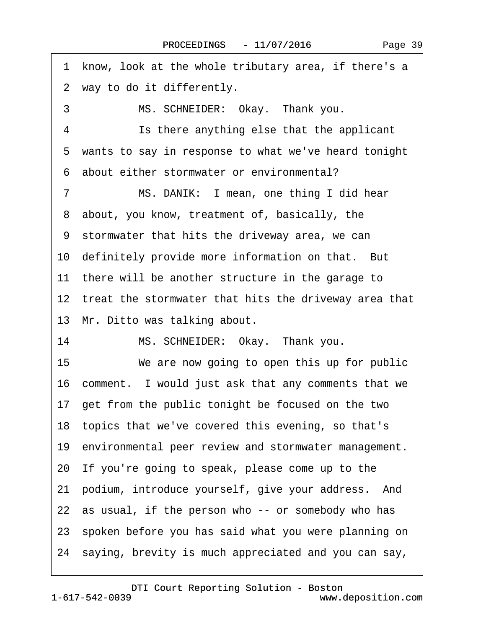<span id="page-38-0"></span>1 know, look at the whole tributary area, if there's a ·2· way to do it differently. 3 MS. SCHNEIDER: Okay. Thank you. 4 **Is there anything else that the applicant** 5 wants to say in response to what we've heard tonight ·6· about either stormwater or environmental? 7 MS. DANIK: I mean, one thing I did hear 8 about, you know, treatment of, basically, the ·9· stormwater that hits the driveway area, we can 10 definitely provide more information on that. But 11 there will be another structure in the garage to 12 treat the stormwater that hits the driveway area that 13 Mr. Ditto was talking about. 14 MS. SCHNEIDER: Okay. Thank you. 15 We are now going to open this up for public 16 comment. I would just ask that any comments that we 17 get from the public tonight be focused on the two 18· topics that we've covered this evening, so that's 19 environmental peer review and stormwater management. 20· If you're going to speak, please come up to the 21 podium, introduce yourself, give your address. And 22 as usual, if the person who -- or somebody who has 23· spoken before you has said what you were planning on 24· saying, brevity is much appreciated and you can say,

1-617-542-0039 [DTI Court Reporting Solution - Boston](http://www.deposition.com) www.deposition.com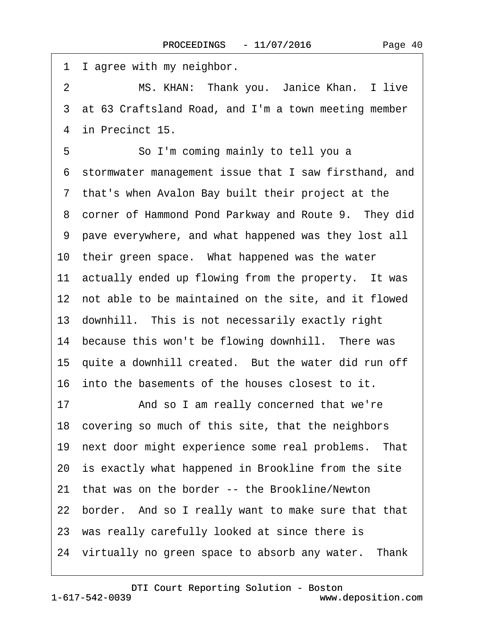<span id="page-39-0"></span>1 Lagree with my neighbor. 2 MS. KHAN: Thank you. Janice Khan. I live 3 at 63 Craftsland Road, and I'm a town meeting member 4 in Precinct 15. 5 **· · · · So I'm coming mainly to tell you a** ·6· stormwater management issue that I saw firsthand, and ·7· that's when Avalon Bay built their project at the 8 corner of Hammond Pond Parkway and Route 9. They did ·9· pave everywhere, and what happened was they lost all 10 their green space. What happened was the water 11 actually ended up flowing from the property. It was 12 not able to be maintained on the site, and it flowed 13· downhill.· This is not necessarily exactly right 14 because this won't be flowing downhill. There was 15 quite a downhill created. But the water did run off 16· into the basements of the houses closest to it. 17 • And so I am really concerned that we're 18· covering so much of this site, that the neighbors 19 next door might experience some real problems. That 20 is exactly what happened in Brookline from the site 21 that was on the border -- the Brookline/Newton 22 border. And so I really want to make sure that that 23 was really carefully looked at since there is 24 virtually no green space to absorb any water. Thank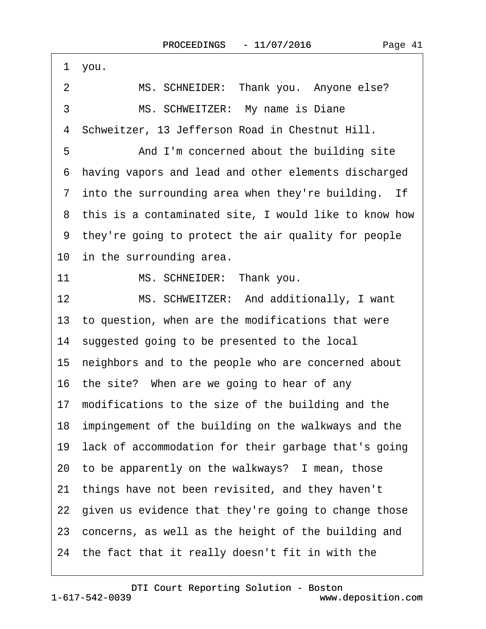<span id="page-40-0"></span>

| 1 you.                                                      |
|-------------------------------------------------------------|
| MS. SCHNEIDER: Thank you. Anyone else?<br>2                 |
| MS. SCHWEITZER: My name is Diane<br>3                       |
| Schweitzer, 13 Jefferson Road in Chestnut Hill.<br>4        |
| 5<br>And I'm concerned about the building site              |
| having vapors and lead and other elements discharged<br>6   |
| 7 into the surrounding area when they're building. If       |
| 8 this is a contaminated site, I would like to know how     |
| 9 they're going to protect the air quality for people       |
| 10 in the surrounding area.                                 |
| 11<br>MS. SCHNEIDER: Thank you.                             |
| 12 <sub>2</sub><br>MS. SCHWEITZER: And additionally, I want |
| 13 to question, when are the modifications that were        |
| 14 suggested going to be presented to the local             |
| 15 neighbors and to the people who are concerned about      |
| 16 the site? When are we going to hear of any               |
| 17 modifications to the size of the building and the        |
| 18 impingement of the building on the walkways and the      |
| 19 lack of accommodation for their garbage that's going     |
| 20 to be apparently on the walkways? I mean, those          |
| 21 things have not been revisited, and they haven't         |
| 22 given us evidence that they're going to change those     |
| 23 concerns, as well as the height of the building and      |
| 24 the fact that it really doesn't fit in with the          |
|                                                             |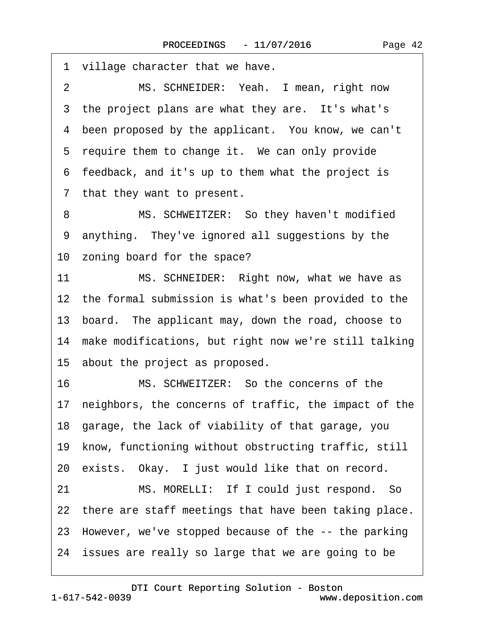<span id="page-41-0"></span>1 village character that we have. 2 MS. SCHNEIDER: Yeah. I mean, right now 3 the project plans are what they are. It's what's 4 been proposed by the applicant. You know, we can't 5 require them to change it. We can only provide ·6· feedback, and it's up to them what the project is 7 that they want to present. 8 MS. SCHWEITZER: So they haven't modified 9 anything. They've ignored all suggestions by the 10 zoning board for the space? 11 MS. SCHNEIDER: Right now, what we have as 12 the formal submission is what's been provided to the 13· board.· The applicant may, down the road, choose to 14 make modifications, but right now we're still talking 15· about the project as proposed. 16· · · · · ·MS. SCHWEITZER:· So the concerns of the 17 neighbors, the concerns of traffic, the impact of the 18· garage, the lack of viability of that garage, you 19 know, functioning without obstructing traffic, still 20 exists. Okay. I just would like that on record. 21 MS. MORELLI: If I could just respond. So 22 there are staff meetings that have been taking place. 23· However, we've stopped because of the -- the parking 24 issues are really so large that we are going to be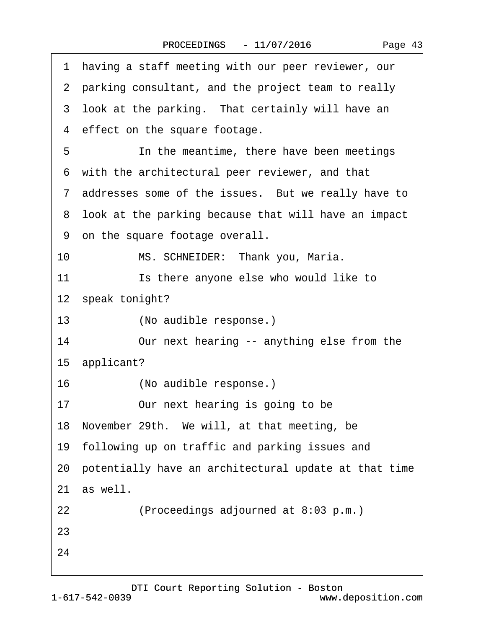| ۰۵<br>–<br><b>Contract Contract</b> | Λ |
|-------------------------------------|---|
|-------------------------------------|---|

<span id="page-42-0"></span>

|    | 1 having a staff meeting with our peer reviewer, our     |  |  |  |
|----|----------------------------------------------------------|--|--|--|
|    | 2 parking consultant, and the project team to really     |  |  |  |
|    | 3 look at the parking. That certainly will have an       |  |  |  |
|    | 4 effect on the square footage.                          |  |  |  |
| 5  | In the meantime, there have been meetings                |  |  |  |
|    | 6 with the architectural peer reviewer, and that         |  |  |  |
|    | 7 addresses some of the issues. But we really have to    |  |  |  |
|    | 8 look at the parking because that will have an impact   |  |  |  |
|    | 9 on the square footage overall.                         |  |  |  |
| 10 | MS. SCHNEIDER: Thank you, Maria.                         |  |  |  |
| 11 | Is there anyone else who would like to                   |  |  |  |
|    | 12 speak tonight?                                        |  |  |  |
| 13 | (No audible response.)                                   |  |  |  |
| 14 | Our next hearing -- anything else from the               |  |  |  |
|    | 15 applicant?                                            |  |  |  |
| 16 | (No audible response.)                                   |  |  |  |
| 17 | Our next hearing is going to be                          |  |  |  |
|    | 18 November 29th. We will, at that meeting, be           |  |  |  |
|    | 19 following up on traffic and parking issues and        |  |  |  |
|    | 20 potentially have an architectural update at that time |  |  |  |
|    | 21 as well.                                              |  |  |  |
| 22 | (Proceedings adjourned at 8:03 p.m.)                     |  |  |  |
| 23 |                                                          |  |  |  |
| 24 |                                                          |  |  |  |
|    |                                                          |  |  |  |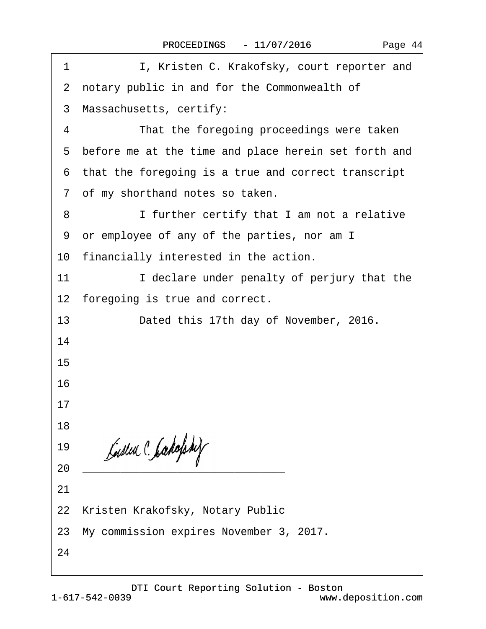| c in and for the Commonwealth of          |
|-------------------------------------------|
| etts, certify:                            |
| e foregoing proceedings were taken        |
| t the time and place herein set forth and |
| going is a true and correct transcript    |
| and notes so taken.                       |
| r certify that I am not a relative        |
| of any of the parties, nor am I           |
| nterested in the action.                  |
| are under penalty of perjury that the     |
| true and correct.                         |
| this 17th day of November, 2016.          |
|                                           |
|                                           |
|                                           |
|                                           |
|                                           |
|                                           |

2 notary public

- 3 Massachuse
- 4 That the 4

1 I, Kristen C. Krakofsky, court reporter and

- 5 before me at
- 6 that the foreg
- 7 of my shortha
- 8 I furthe
- 9 or employee
- 10 financially in
- 11 **I** decla
- 12 foregoing is
- 13 Dated
- 14
- 15
- 
- 16
	- 17
	- 18
	- 19
- $20$
- 21
- 22 Kristen Krakofsky, Notary Public
- 23· My commission expires November 3, 2017.
- 24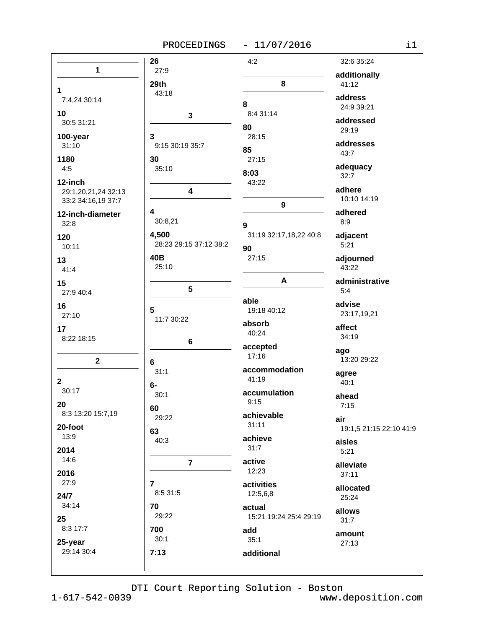# PROCEEDINGS - 11/07/2016

| n e |  |
|-----|--|
|     |  |
|     |  |

|                     | 26                     | 4:2                         | 32:6 35:24              |
|---------------------|------------------------|-----------------------------|-------------------------|
| 1                   | 27:9                   |                             |                         |
|                     | 29th                   | 8                           | additionally<br>41:12   |
| 1                   | 43:18                  |                             |                         |
| 7:4,24 30:14        |                        | 8                           | address<br>24:9 39:21   |
| 10                  | 3                      | 8:4 31:14                   |                         |
| 30:5 31:21          |                        | 80                          | addressed               |
| 100-year            | 3                      | 28:15                       | 29:19                   |
| 31:10               | 9:15 30:19 35:7        | 85                          | addresses               |
| 1180                | 30                     | 27:15                       | 43:7                    |
| 4:5                 | 35:10                  |                             | adequacy                |
| 12-inch             |                        | 8:03                        | 32:7                    |
| 29:1,20,21,24 32:13 | 4                      | 43:22                       | adhere                  |
| 33:2 34:16,19 37:7  |                        |                             | 10:10 14:19             |
| 12-inch-diameter    | 4                      | $\boldsymbol{9}$            | adhered                 |
| 32:8                | 30:8,21                |                             | 8:9                     |
|                     | 4,500                  | 9<br>31:19 32:17,18,22 40:8 |                         |
| 120                 | 28:23 29:15 37:12 38:2 |                             | adjacent<br>5:21        |
| 10:11               |                        | 90                          |                         |
| 13                  | 40B<br>25:10           | 27:15                       | adjourned<br>43:22      |
| 41:4                |                        |                             |                         |
| 15                  |                        | A                           | administrative          |
| 27:9 40:4           | 5                      |                             | 5:4                     |
| 16                  | 5                      | able                        | advise                  |
| 27:10               | 11:7 30:22             | 19:18 40:12                 | 23:17,19,21             |
| 17                  |                        | absorb                      | affect                  |
| 8:22 18:15          |                        | 40:24                       | 34:19                   |
|                     | 6                      | accepted                    | ago                     |
| $\mathbf 2$         | 6                      | 17:16                       | 13:20 29:22             |
|                     | 31:1                   | accommodation               |                         |
| $\mathbf{2}$        |                        | 41:19                       | agree<br>40:1           |
| 30:17               | 6-<br>30:1             | accumulation                |                         |
| 20                  |                        | 9:15                        | ahead<br>7:15           |
| 8:3 13:20 15:7,19   | 60                     | achievable                  |                         |
|                     | 29:22                  | 31:11                       | air                     |
| 20-foot<br>13:9     | 63                     |                             | 19:1,5 21:15 22:10 41:9 |
|                     | 40:3                   | achieve<br>31:7             | aisles                  |
| 2014                |                        |                             | 5:21                    |
| 14:6                | $\overline{7}$         | active                      | alleviate               |
| 2016                |                        | 12:23                       | 37:11                   |
| 27:9                | $\overline{7}$         | activities                  | allocated               |
| 24/7                | 8:5 31:5               | 12:5,6,8                    | 25:24                   |
| 34:14               | 70                     | actual                      | allows                  |
| 25                  | 29:22                  | 15:21 19:24 25:4 29:19      | 31:7                    |
| 8:3 17:7            | 700                    | add                         |                         |
| 25-year             | 30:1                   | 35:1                        | amount<br>27:13         |
| 29:14 30:4          | 7:13                   | additional                  |                         |
|                     |                        |                             |                         |
|                     |                        |                             |                         |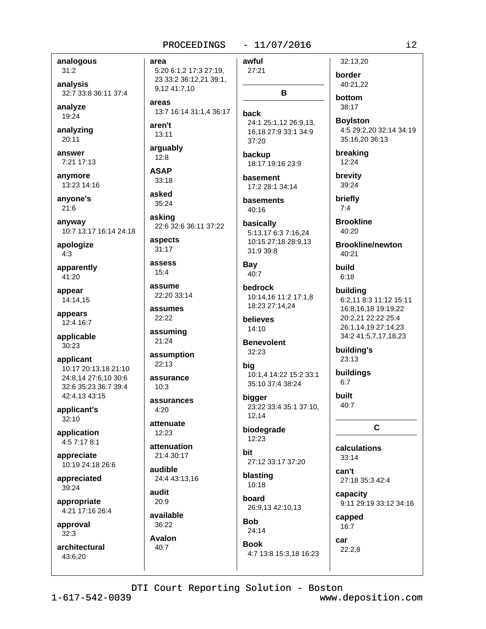# $-11/07/2016$

analogous  $31:2$ 

analysis 32:7 33:8 36:11 37:4

analyze 19:24

analyzing  $20:11$ 

answer 7:21 17:13

anvmore 13:23 14:16

anvone's  $21:6$ 

anyway 10:7 13:17 16:14 24:18

apologize  $4:3$ 

apparently 41:20

appear 14:14,15

appears 12:4 16:7

applicable 30:23

applicant 10:17 20:13.18 21:10 24:8,14 27:6,10 30:6 32:6 35:23 36:7 39:4 42:4,13 43:15

applicant's 32:10

application 4:5 7:17 8:1

appreciate 10:19 24:18 26:6

appreciated 39:24

appropriate 4:21 17:16 26:4

approval  $32.3$ 

architectural 43:6.20

PROCEEDINGS awful area 5:20 6:1,2 17:3 27:19, 27:21 23 33:2 36:12,21 39:1, 9,12 41:7,10 areas 13:7 16:14 31:1,4 36:17 back aren't  $13:11$ 37:20 arquably  $12:8$ **ASAP** 33:18 asked 35:24 40:16 asking basically 22:6 32:6 36:11 37:22 aspects 31:17 assess Bay  $15.4$ 40:7 assume **bedrock** 22:20 33:14 assumes 22:22 believes 14:10 assuming 21:24 **Benevolent**  $32:23$ assumption  $22.13$ big assurance  $10:3$ bigger assurances  $4.20$ 12,14 attenuate  $12:23$ 12:23 attenuation hit 21:4 30:17 audible 24:4 43:13.16 10:18 audit hoard 20:9

available 36:22

**Avalon** 40:7

B 24:1 25:1,12 26:9,13, 16,18 27:9 33:1 34:9 backup 18:17 19:16 23:9 basement 17:2 28:1 34:14

basements

5:13,17 6:3 7:16,24 10:15 27:18 28:9.13 31:9 39:8

10:14,16 11:2 17:1,8 18:23 27:14,24

10:1,4 14:22 15:2 33:1 35:10 37:4 38:24

23:22 33:4 35:1 37:10,

# biodegrade

27:12 33:17 37:20

blasting

26:9,13 42:10,13

**Bob**  $24:14$ 

**Book** 4:7 13:8 15:3,18 16:23

32:13.20 border 40:21,22

bottom 38:17

**Boylston** 4:5 29:2,20 32:14 34:19 35:16,20 36:13

breaking 12:24

brevity 39:24

briefly  $7:4$ 

**Brookline**  $40.20$ 

**Brookline/newton** 40:21

build  $6:18$ 

building 6:2,11 8:3 11:12 15:11 16:8,16,18 19:19,22 20:2,21 22:22 25:4 26:1.14.19 27:14.23 34:2 41:5,7,17,18,23

building's 23:13

buildings  $6:7$ 

built  $40:7$ 

C

calculations  $33:14$ 

can't 27:18 35:3 42:4

capacity 9:11 29:19 33:12 34:16

capped  $16:7$ 

car  $22:2.8$ 

DTI Court Reporting Solution - Boston

 $i2$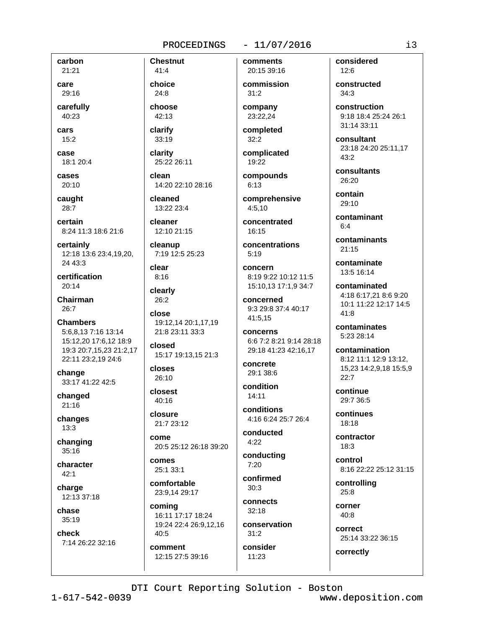# $-11/07/2016$

carbon 21:21

care 29:16

carefully 40:23

cars  $15:2$ 

case 18:1 20:4

cases

 $20:10$ caught

28:7

certain 8:24 11:3 18:6 21:6

certainly 12:18 13:6 23:4,19,20, 24 43:3

certification  $20:14$ 

Chairman  $26:7$ 

**Chambers** 5:6,8,13 7:16 13:14 15:12,20 17:6,12 18:9 19:3 20:7,15,23 21:2,17 22:11 23:2,19 24:6

change 33:17 41:22 42:5

changed  $21:16$ 

changes  $13:3$ 

changing  $35:16$ 

character  $42:1$ 

charge 12:13 37:18

chase 35:19

check

 $41:4$ choice  $24:8$ 

**Chestnut** 

choose 42:13

clarify 33:19

clarity 25:22 26:11

clean 14:20 22:10 28:16

cleaned 13:22 23:4

cleaner 12:10 21:15

cleanup 7:19 12:5 25:23

clear  $8:16$ 

clearly 26:2

close 19:12,14 20:1,17,19 21:8 23:11 33:3

closed 15:17 19:13,15 21:3

closes  $26:10$ 

closest 40:16

closure 21:7 23:12

come 20:5 25:12 26:18 39:20

comes 25:1 33:1

comfortable 23:9,14 29:17

coming 16:11 17:17 18:24 19:24 22:4 26:9.12.16  $40:5$ 

comment 12:15 27:5 39:16

20:15 39:16 commission  $31:2$ 

comments

company 23:22,24

completed  $32:2$ 

complicated 19:22

compounds  $6:13$ 

comprehensive  $4:5,10$ 

concentrated  $16.15$ 

concentrations  $5:19$ 

concern 8:19 9:22 10:12 11:5 15:10,13 17:1,9 34:7

concerned 9:3 29:8 37:4 40:17 41:5,15

concerns 6:6 7:2 8:21 9:14 28:18 29:18 41:23 42:16,17

concrete 29:1 38:6

condition 14:11

conditions 4:16 6:24 25:7 26:4

conducted  $4:22$ 

conducting  $7:20$ 

confirmed  $30.3$ 

connects  $32:18$ 

conservation  $31.2$ 

consider  $11:23$ 

considered  $12.6$ 

constructed  $34:3$ 

construction 9:18 18:4 25:24 26:1 31:14 33:11

consultant 23:18 24:20 25:11,17 43:2

consultants 26:20

contain 29:10

> contaminant  $6.4$

contaminants  $21:15$ 

contaminate 13:5 16:14

contaminated 4:18 6:17.21 8:6 9:20 10:1 11:22 12:17 14:5  $41.8$ 

contaminates 5:23 28:14

contamination 8:12 11:1 12:9 13:12, 15,23 14:2,9,18 15:5,9  $22:7$ 

continue 29:7 36:5

continues 18:18

contractor  $18:3$ 

control 8:16 22:22 25:12 31:15

controlling 25:8

corner  $40:8$ 

correct 25:14 33:22 36:15

correctly

DTI Court Reporting Solution - Boston

7:14 26:22 32:16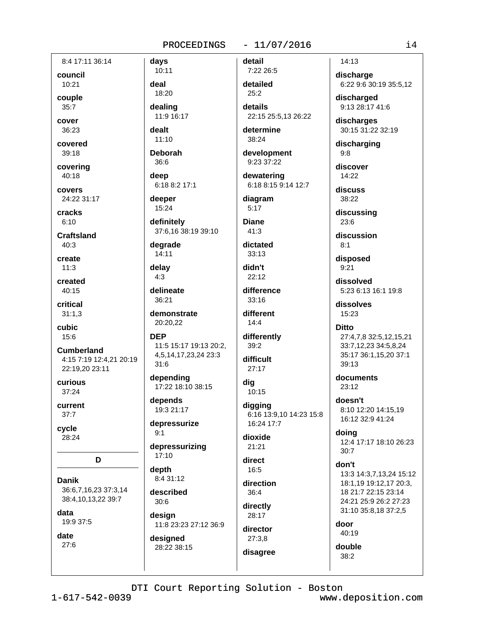8:4 17:11 36:14

council 10:21

couple  $35:7$ 

cover 36:23

covered

 $39:18$ covering

40:18

covers 24:22 31:17

cracks  $6:10$ 

Craftsland  $40:3$ 

create  $11:3$ 

created 40:15

critical  $31:1,3$ 

cubic 15:6

**Cumberland** 4:15 7:19 12:4.21 20:19 22:19,20 23:11

curious  $37:24$ 

current  $37:7$ 

cycle 28:24

D

**Danik** 36:6,7,16,23 37:3,14 38:4,10,13,22 39:7

data 19:9 37:5

date  $27:6$ 

10:11 deal 18:20

davs

dealing 11:9 16:17

dealt  $11:10$ 

**Deborah** 

36:6 deep 6:18 8:2 17:1

deeper 15:24

definitely 37:6,16 38:19 39:10

degrade  $14:11$ 

delay  $4:3$ 

delineate 36:21

> demonstrate 20:20,22

**DEP** 11:5 15:17 19:13 20:2, 4,5,14,17,23,24 23:3  $31:6$ 

depending 17:22 18:10 38:15

depends 19:3 21:17

depressurize  $9:1$ 

depressurizing  $17:10$ 

depth  $8:431:12$ 

described  $30:6$ 

design 11:8 23:23 27:12 36:9

designed 28:22 38:15 detail

7:22 26:5 detailed  $25:2$ 

details 22:15 25:5,13 26:22

 $-11/07/2016$ 

determine  $38:24$ 

development 9:23 37:22

dewatering 6:18 8:15 9:14 12:7

diagram  $5:17$ 

**Diane** 

 $41:3$ 

dictated  $33:13$ 

didn't  $22:12$ 

difference 33:16

different  $14:4$ 

differently  $39:2$ 

difficult

 $27:17$ dig 10:15

digging 6:16 13:9,10 14:23 15:8 16:24 17:7

dioxide 21:21

direct 16:5

direction  $36:4$ 

directly 28:17

director  $27:3.8$ disagree 14:13

discharge 6:22 9:6 30:19 35:5,12

discharged 9:13 28:17 41:6

discharges 30:15 31:22 32:19

discharging  $9:8$ 

discover 14:22

discuss 38:22

discussing  $23:6$ 

discussion  $8:1$ 

disposed  $9:21$ 

dissolved 5:23 6:13 16:1 19:8

dissolves 15:23

**Ditto** 

# 27:4,7,8 32:5,12,15,21 33:7,12,23 34:5,8,24 35:17 36:1,15,20 37:1  $39:13$

documents 23:12

doesn't 8:10 12:20 14:15.19 16:12 32:9 41:24

doing 12:4 17:17 18:10 26:23  $30:7$ 

don't 13:3 14:3.7.13.24 15:12 18:1,19 19:12,17 20:3, 18 21:7 22:15 23:14 24:21 25:9 26:2 27:23 31:10 35:8,18 37:2,5

door 40:19

double

 $38:2$ 

DTI Court Reporting Solution - Boston

 $1 - 617 - 542 - 0039$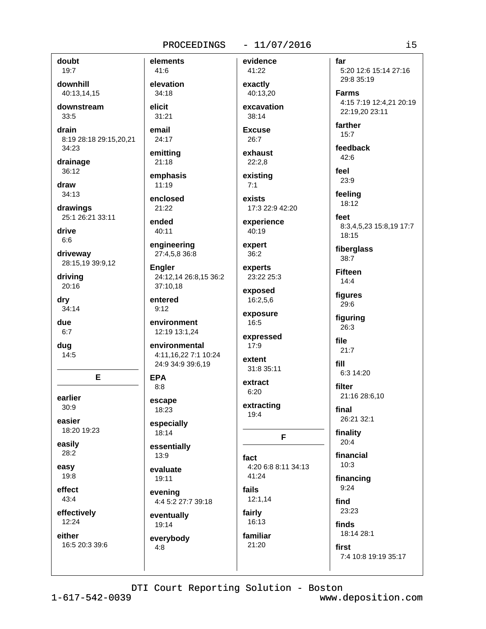# $-11/07/2016$

doubt  $19:7$ downhill 40:13.14.15 downstream 33:5 drain 8:19 28:18 29:15,20,21 34:23 drainage 36:12 draw  $34:13$ drawings 25:1 26:21 33:11 drive  $6.6$ driveway 28:15,19 39:9,12 drivina 20:16 dry  $34:14$ due  $6:7$ dug  $14:5$ 

E. earlier

 $30:9$ easier

18:20 19:23 easily

 $28:2$ easy

19:8 effect

43:4

effectively 12:24

either 16:5 20:3 39:6

 $41:6$ elevation  $34:18$ elicit

elements

 $31:21$ email 24:17

emitting

 $21:18$ emphasis

 $11:19$ 

enclosed  $21:22$ 

ended  $40:11$ 

engineering 27:4,5,8 36:8

**Engler** 24:12.14 26:8.15 36:2 37:10,18

entered  $9:12$ 

environment 12:19 13:1,24

environmental 4:11.16.22 7:1 10:24 24:9 34:9 39:6,19

**EPA**  $8:8$ 

escape 18:23

especially 18:14

essentially  $13:9$ 

evaluate 19:11

evening 4:4 5:2 27:7 39:18

eventually 19:14

everybody  $4:8$ 

41:22 exactly 40:13.20 excavation

evidence

38:14

**Excuse** 26:7

exhaust  $22:2,8$ 

existina  $7:1$ 

exists 17:3 22:9 42:20

experience  $40:19$ 

expert  $36:2$ 

experts 23:22 25:3

exposed 16:2,5,6

exposure  $16:5$ 

expressed  $17:9$ 

extent 31:8 35:11

extract  $6:20$ extracting

 $19:4$ 

F

fact 4:20 6:8 8:11 34:13 41:24

fails  $12:1,14$ fairly

16:13 familiar 21:20

5:20 12:6 15:14 27:16 29:8 35:19 **Farms** 

4:15 7:19 12:4.21 20:19 22:19,20 23:11

farther  $15:7$ 

feedback 42:6

far

feel 23:9

feeling 18:12

feet 8:3,4,5,23 15:8,19 17:7 18:15

fiberglass  $38:7$ 

**Fifteen**  $14:4$ 

figures 29:6

figuring 26:3

file

 $21:7$ fill

6:3 14:20

filter

21:16 28:6,10

final 26:21 32:1

finality  $20:4$ 

financial  $10:3$ 

financing

 $9:24$ 

find

23:23 finds

18:14 28:1

first

7:4 10:8 19:19 35:17

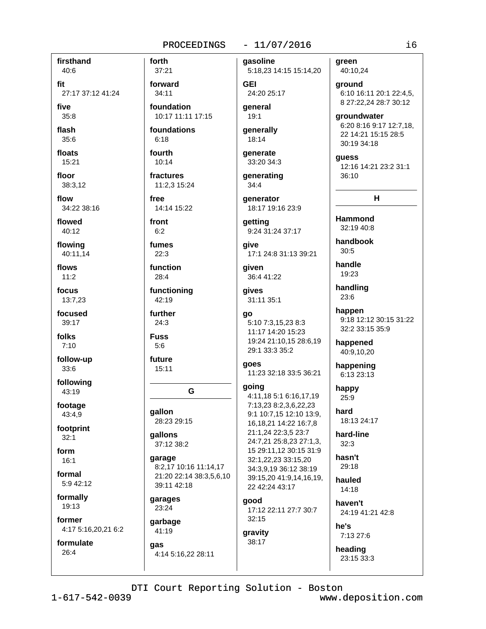# $-11/07/2016$

firsthand 40:6

fit 27:17 37:12 41:24

five

 $35:8$ 

flash  $35:6$ 

floats

15:21 floor

38:3.12

flow 34:22 38:16

flowed  $40:12$ 

flowing 40:11,14

flows  $11:2$ 

focus 13:7,23

focused 39:17

folks  $7:10$ 

follow-up  $33:6$ 

following 43:19

footage 43:4,9

footprint  $32:1$ 

form  $16:1$ 

formal 5:9 42:12

formally 19:13

former 4:17 5:16,20,21 6:2

formulate  $26:4$ 

37:21 forward  $34:11$ 

forth

foundation 10:17 11:11 17:15

foundations  $6:18$ 

fourth  $10:14$ 

fractures

11:2.3 15:24 free 14:14 15:22

front  $6:2$ 

fumes  $22:3$ 

function  $28:4$ 

functioning 42:19

further  $24:3$ 

**Fuss**  $5:6$ 

future  $15:11$ 

G

gallon 28:23 29:15

gallons 37:12 38:2

garage 8:2,17 10:16 11:14,17 21:20 22:14 38:3,5,6,10 39:11 42:18

garages 23:24

garbage 41:19

# aas

4:14 5:16,22 28:11

gasoline 5:18,23 14:15 15:14,20

**GEI** 24:20 25:17 qeneral

19:1

generally 18:14

qenerate 33:20 34:3

generating  $34:4$ 

qenerator 18:17 19:16 23:9

getting 9:24 31:24 37:17

qive 17:1 24:8 31:13 39:21

aiven 36:4 41:22

gives 31:11 35:1

# go

5:10 7:3,15,23 8:3 11:17 14:20 15:23 19:24 21:10,15 28:6,19 29:1 33:3 35:2

# goes

11:23 32:18 33:5 36:21

# going

4:11,18 5:1 6:16,17,19 7:13,23 8:2,3,6,22,23 9:1 10:7,15 12:10 13:9, 16, 18, 21 14: 22 16: 7, 8 21:1,24 22:3,5 23:7 24:7,21 25:8,23 27:1,3, 15 29:11,12 30:15 31:9 32:1,22,23 33:15,20 34:3,9,19 36:12 38:19 39:15.20 41:9.14.16.19. 22 42:24 43:17

# good 17:12 22:11 27:7 30:7

32:15 gravity 38:17

green 40:10,24

ground 6:10 16:11 20:1 22:4,5, 8 27:22,24 28:7 30:12

groundwater 6:20 8:16 9:17 12:7,18, 22 14:21 15:15 28:5 30:19 34:18

guess 12:16 14:21 23:2 31:1 36:10

 $H$ 

**Hammond** 32:19 40:8

handbook  $30:5$ 

handle 19:23

handling 23:6

happen 9:18 12:12 30:15 31:22 32:2 33:15 35:9

happened 40:9,10,20

happening 6:13 23:13

happy  $25:9$ 

hard 18:13 24:17

hard-line  $32:3$ 

hasn't 29:18

hauled  $14.18$ 

haven't 24:19 41:21 42:8

he's 7:13 27:6

heading

23:15 33:3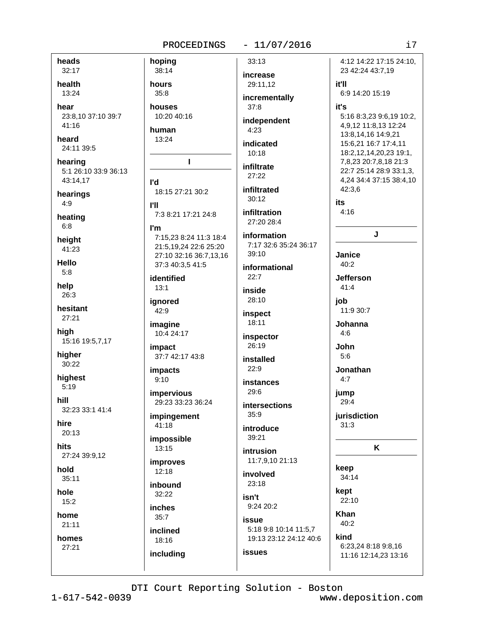# $-11/07/2016$

heads 32:17

health 13:24

hear 23:8,10 37:10 39:7 41:16

heard 24:11 39:5

hearing 5:1 26:10 33:9 36:13 43:14,17

hearings  $4:9$ 

heating  $6:8$ 

height 41:23

Hello  $5:8$ 

help 26:3

hesitant 27:21

high 15:16 19:5,7,17

higher 30:22

highest  $5:19$ 

hill 32:23 33:1 41:4

hire  $20:13$ 

hits 27:24 39:9,12

hold

 $35:11$ 

hole  $15:2$ 

home

 $21:11$ 

homes 27:21

hoping 38:14 hours  $35:8$ houses 10:20 40:16 human  $13:24$ 

# $\mathbf{I}$

l'd 18:15 27:21 30:2

**PH** 7:3 8:21 17:21 24:8

I'm 7:15.23 8:24 11:3 18:4 21:5,19,24 22:6 25:20 27:10 32:16 36:7,13,16 37:3 40:3,5 41:5

identified  $13:1$ 

ignored  $42:9$ 

imagine 10:4 24:17

impact 37:7 42:17 43:8

**impacts**  $9:10$ 

impervious 29:23 33:23 36:24

impingement 41:18

impossible 13:15

**improves**  $12:18$ 

inbound

32:22

inches  $35:7$ 

inclined 18:16

including

increase 29:11,12 incrementally

 $33:13$ 

 $37:8$ independent

 $4:23$ indicated

 $10:18$ infiltrate

 $27:22$ 

infiltrated  $30.12$ 

infiltration 27:20 28:4

information 7:17 32:6 35:24 36:17 39:10

informational  $22:7$ 

inside 28:10

inspect 18:11

inspector 26:19

installed

 $22:9$ instances

 $29.6$ 

**intersections**  $35.9$ 

introduce

39:21 intrusion

11:7,9,10 21:13

involved 23:18

isn't 9:24 20:2

issue

**issues** 

5:18 9:8 10:14 11:5,7 19:13 23:12 24:12 40:6

# 15:6,21 16:7 17:4,11 18:2,12,14,20,23 19:1, 7,8,23 20:7,8,18 21:3 22:7 25:14 28:9 33:1,3, 4,24 34:4 37:15 38:4,10 42:3.6 its  $4:16$  $\mathbf{I}$ . Janice  $40:2$ **Jefferson**

 $41:4$ iob

11:9 30:7 Johanna

 $4:6$ 

John

 $5.6$ 

Jonathan  $4:7$ 

jump 29:4

jurisdiction  $31:3$ 

K

34:14

keep

kept  $22.10$ 

**Khan** 

 $40:2$ kind

6:23,24 8:18 9:8,16 11:16 12:14,23 13:16

DTI Court Reporting Solution - Boston

4:12 14:22 17:15 24:10.

5:16 8:3,23 9:6,19 10:2,

4,9,12 11:8,13 12:24

13:8,14,16 14:9,21

23 42:24 43:7,19

6:9 14:20 15:19

it'll

it's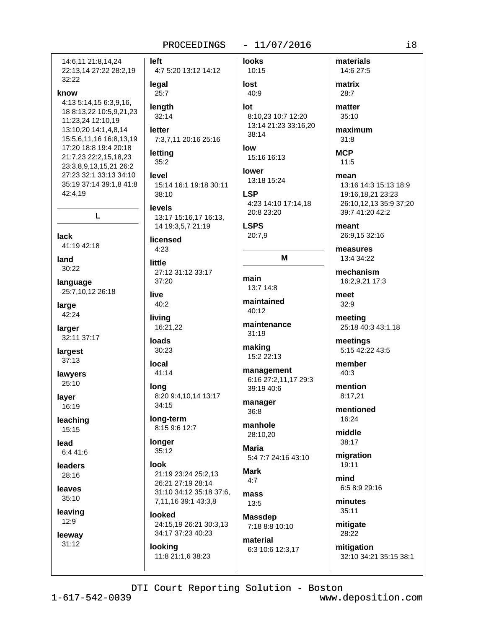# $-11/07/2016$

left 14:6.11 21:8.14.24 22:13,14 27:22 28:2,19 32:22 legal know 4:13 5:14.15 6:3.9.16. 18 8:13,22 10:5,9,21,23 11:23,24 12:10,19 13:10,20 14:1,4,8,14 15:5,6,11,16 16:8,13,19 17:20 18:8 19:4 20:18 21:7,23 22:2,15,18,23 23:3.8.9.13.15.21 26:2 27:23 32:1 33:13 34:10 level 35:19 37:14 39:1,8 41:8 42:4,19 L lack 41:19 42:18 land little  $30:22$ language 25:7,10,12 26:18 live large 42:24 larger 32:11 37:17 largest 37:13 local lawyers 25:10 long laver 16:19 leaching 15:15 lead 6:4 41:6 look leaders 28:16 leaves 35:10 leaving  $12:9$ leeway  $31:12$ 

**looks** 4:7 5:20 13:12 14:12 10:15 lost 40:9  $25:7$ lenath lot  $32:14$ letter 7:3,7,11 20:16 25:16 low letting  $35:2$ **lower** 15:14 16:1 19:18 30:11 **LSP** 38:10 **levels** 13:17 15:16,17 16:13, 14 19:3,5,7 21:19 **LSPS**  $20:7.9$ licensed  $4:23$ 27:12 31:12 33:17 main  $37:20$ 13:7 14:8  $40:2$ living 16:21,22 **loads** 30:23 41:14 8:20 9:4,10,14 13:17  $34:15$  $36:8$ long-term manhole 8:15 9:6 12:7 longer Maria  $35:12$ **Mark** 21:19 23:24 25:2.13  $4:7$ 26:21 27:19 28:14 31:10 34:12 35:18 37:6, mass 7,11,16 39:1 43:3,8 13:5 looked 24:15,19 26:21 30:3,13 7:18 8:8 10:10 34:17 37:23 40:23

looking 11:8 21:1,6 38:23 8:10,23 10:7 12:20 13:14 21:23 33:16,20 38:14

15:16 16:13

13:18 15:24 4:23 14:10 17:14,18 20:8 23:20

# M

maintained 40:12

maintenance  $31:19$ 

making 15:2 22:13

management 6:16 27:2,11,17 29:3 39:19 40:6

manager

28:10,20

5:4 7:7 24:16 43:10

**Massdep** 

material 6:3 10:6 12:3,17 matrix  $28:7$ matter

materials

14:6 27:5

35:10

maximum  $31:8$ 

**MCP**  $11:5$ 

mean 13:16 14:3 15:13 18:9 19:16,18,21 23:23 26:10,12,13 35:9 37:20 39:7 41:20 42:2

meant 26:9,15 32:16

measures 13:4 34:22

mechanism 16:2,9,21 17:3

meet  $32:9$ 

meeting 25:18 40:3 43:1,18

meetings 5:15 42:22 43:5

member  $40:3$ 

mention 8:17.21

mentioned 16:24

middle 38:17

migration 19:11

mind 6:5 8:9 29:16

minutes 35:11

mitigate 28:22

mitigation 32:10 34:21 35:15 38:1

DTI Court Reporting Solution - Boston

 $1 - 617 - 542 - 0039$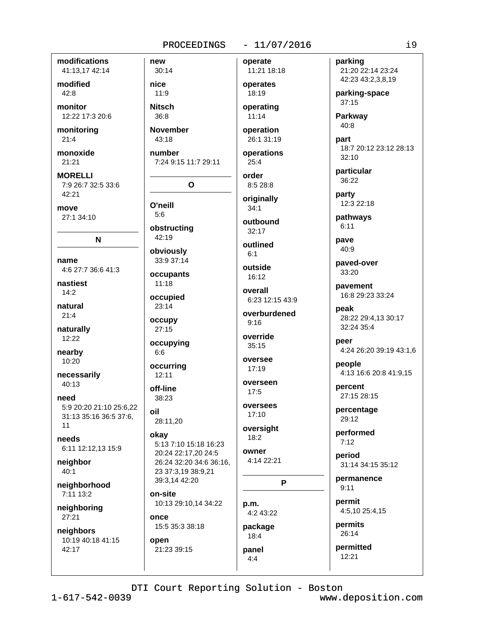modifications 41:13,17 42:14

modified  $42:8$ 

monitor 12:22 17:3 20:6

monitoring  $21:4$ 

monoxide  $21:21$ 

**MORELLI** 7:9 26:7 32:5 33:6 42:21

move 27:1 34:10

name 4:6 27:7 36:6 41:3

N

nastiest  $14.2$ 

natural  $21:4$ 

naturally 12:22

nearby 10:20

necessarily  $40:13$ 

need 5:9 20:20 21:10 25:6.22 31:13 35:16 36:5 37:6,  $11$ 

needs 6:11 12:12,13 15:9

neighbor 40:1

neighborhood 7:11 13:2

neighboring 27:21

neighbors 10:19 40:18 41:15 42:17

30:14 nice

new

**Nitsch** 

 $11:9$ 

 $36:8$ **November** 

 $43:18$ 

number 7:24 9:15 11:7 29:11

 $\mathbf{o}$ 

O'neill  $5:6$ 

obstructina 42:19

obviously

33:9 37:14 occupants  $11:18$ 

occupied 23:14

occupy  $27:15$ 

occupying  $6:6$ 

occurring  $12:11$ 

off-line 38:23

oil 28:11.20

okay 5:13 7:10 15:18 16:23 20:24 22:17.20 24:5 26:24 32:20 34:6 36:16, 23 37:3,19 38:9,21 39:3.14 42:20

on-site 10:13 29:10,14 34:22

once 15:5 35:3 38:18

open 21:23 39:15  $-11/07/2016$ 

11:21 18:18 operates

operate

18:19 operating

 $11:14$ operation

26:1 31:19

operations  $25:4$ 

order

8:5 28:8 originally

 $34:1$ outbound  $32:17$ 

outlined

 $6:1$ outside

16:12

overall 6:23 12:15 43:9

overburdened  $Q·16$ 

override  $35:15$ 

oversee  $17:19$ 

overseen  $17:5$ 

oversees  $17:10$ 

oversight  $18:2$ 

owner 4:14 22:21

P

p.m. 4:2 43:22 package 18:4

panel  $4:4$ 

parking 21:20 22:14 23:24 42:23 43:2,3,8,19

parking-space  $37:15$ 

**Parkway** 40:8

part 18:7 20:12 23:12 28:13  $32:10$ 

particular 36:22

party 12:3 22:18

pathways  $6:11$ 

pave 40:9

paved-over 33:20

pavement 16:8 29:23 33:24

peak 28:22 29:4,13 30:17 32:24 35:4

peer 4:24 26:20 39:19 43:1,6

people 4:13 16:6 20:8 41:9,15

percent 27:15 28:15

percentage 29:12

performed  $7:12$ 

period 31:14 34:15 35:12

permanence  $9:11$ 

permit 4:5,10 25:4,15

permits  $26:14$ 

permitted

 $12:21$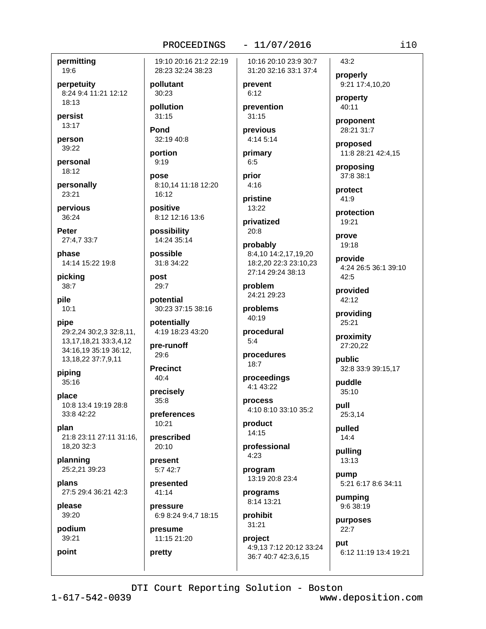## permitting 19:6

perpetuity 8:24 9:4 11:21 12:12 18:13

persist 13:17

person 39:22

personal 18:12

personally 23:21

pervious 36:24

Peter 27:4,7 33:7

phase 14:14 15:22 19:8

pickina 38:7

pile  $10:1$ 

pipe 29:2,24 30:2,3 32:8,11, 13, 17, 18, 21 33: 3, 4, 12 34:16,19 35:19 36:12, 13, 18, 22 37: 7, 9, 11

piping  $35:16$ 

place 10:8 13:4 19:19 28:8 33:8 42:22

plan 21:8 23:11 27:11 31:16, 18,20 32:3

planning 25:2,21 39:23

plans 27:5 29:4 36:21 42:3

please 39:20

podium 39:21

point

19:10 20:16 21:2 22:19 28:23 32:24 38:23

pollutant 30:23

pollution  $31:15$ 

Pond 32:19 40:8

portion  $9:19$ 

 $16.12$ 

pose 8:10.14 11:18 12:20

positive 8:12 12:16 13:6

possibilitv 14:24 35:14

possible 31:8 34:22

post 29:7

potential 30:23 37:15 38:16

potentially 4:19 18:23 43:20

pre-runoff 29:6

**Precinct**  $40:4$ 

precisely  $35:8$ 

preferences 10:21

prescribed  $20:10$ 

present  $5:742:7$ 

presented  $41:14$ 

pressure 6:9 8:24 9:4,7 18:15

presume 11:15 21:20

pretty

10:16 20:10 23:9 30:7 31:20 32:16 33:1 37:4

 $-11/07/2016$ 

prevent  $6:12$ 

prevention  $31:15$ 

previous 4:14 5:14

primary  $6:5$ 

prior  $4:16$ 

pristine  $13:22$ 

privatized  $20:8$ 

probably 8:4.10 14:2.17.19.20 18:2,20 22:3 23:10,23

27:14 29:24 38:13 problem

24:21 29:23 problems

 $40:19$ 

procedural  $5-4$ 

procedures  $18.7$ 

proceedings 4:1 43:22

process 4:10 8:10 33:10 35:2

product 14:15

professional  $4:23$ 

program 13:19 20:8 23:4

programs 8:14 13:21

prohibit

 $31:21$ project 4:9,13 7:12 20:12 33:24  $i10$ 

properly 9:21 17:4,10,20

property  $40:11$ 

 $43:2$ 

proponent 28:21 31:7

proposed 11:8 28:21 42:4,15

proposing 37:8 38:1

protect  $41:9$ 

protection 19:21

prove 19:18

provide 4:24 26:5 36:1 39:10

provided 42:12

providing 25:21

proximity

32:8 33:9 39:15,17

puddle  $35:10$ 

pull 25:3,14

pulled  $14:4$ 

pulling 13:13

pump 5:21 6:17 8:6 34:11

purposes  $22:7$ 

nut 6:12 11:19 13:4 19:21 36:7 40:7 42:3,6,15

DTI Court Reporting Solution - Boston

 $42:5$ 

27:20,22

public

pumping 9:6 38:19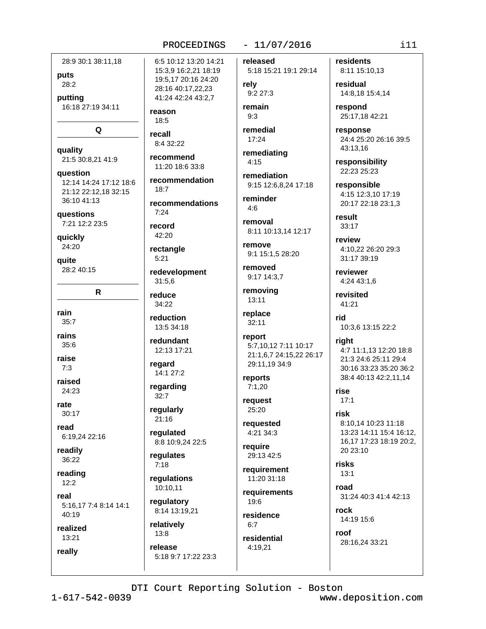| 6:5 10:12<br>28:9 30:1 38:11,18<br>15:3,9 16:<br>19:5,17 20<br>28:2<br>28:16 40:1<br>41:24 42:2<br>putting<br>16:18 27:19 34:11<br>reason<br>18:5<br>Q<br>recall<br>8:4 32:22<br>recommer<br>21:5 30:8,21 41:9<br>11:20 18:6<br>recommer<br>12:14 14:24 17:12 18:6<br>18:7<br>21:12 22:12,18 32:15<br>36:10 41:13<br>recommer<br>7:24<br>questions<br>7:21 12:2 23:5<br>record<br>42:20<br>quickly<br>24:20<br>rectangle<br>5:21<br>quite<br>28:2 40:15<br>redevelop<br>31:5,6<br>R<br>reduce<br>34:22<br>reduction<br>35:7<br>13:5 34:18<br>redundant<br>35:6<br>12:13 17:2<br>regard<br>7:3<br>14:1 27:2<br>regarding<br>24:23<br>32:7<br>regularly<br>30:17<br>21:16<br>regulated<br>6:19,24 22:16<br>8:8 10:9,2<br>regulates<br>36:22<br>7:18<br>regulation<br>12:2<br>10:10,11<br>regulatory<br>5:16,17 7:4 8:14 14:1<br>8:14 13:19<br>40:19<br>relatively<br>13:8<br>13:21<br>release<br>5:18 9:7 1 |          |  |
|-----------------------------------------------------------------------------------------------------------------------------------------------------------------------------------------------------------------------------------------------------------------------------------------------------------------------------------------------------------------------------------------------------------------------------------------------------------------------------------------------------------------------------------------------------------------------------------------------------------------------------------------------------------------------------------------------------------------------------------------------------------------------------------------------------------------------------------------------------------------------------------------------------------|----------|--|
|                                                                                                                                                                                                                                                                                                                                                                                                                                                                                                                                                                                                                                                                                                                                                                                                                                                                                                           | puts     |  |
|                                                                                                                                                                                                                                                                                                                                                                                                                                                                                                                                                                                                                                                                                                                                                                                                                                                                                                           |          |  |
|                                                                                                                                                                                                                                                                                                                                                                                                                                                                                                                                                                                                                                                                                                                                                                                                                                                                                                           |          |  |
|                                                                                                                                                                                                                                                                                                                                                                                                                                                                                                                                                                                                                                                                                                                                                                                                                                                                                                           | quality  |  |
|                                                                                                                                                                                                                                                                                                                                                                                                                                                                                                                                                                                                                                                                                                                                                                                                                                                                                                           | question |  |
|                                                                                                                                                                                                                                                                                                                                                                                                                                                                                                                                                                                                                                                                                                                                                                                                                                                                                                           |          |  |
|                                                                                                                                                                                                                                                                                                                                                                                                                                                                                                                                                                                                                                                                                                                                                                                                                                                                                                           |          |  |
|                                                                                                                                                                                                                                                                                                                                                                                                                                                                                                                                                                                                                                                                                                                                                                                                                                                                                                           |          |  |
|                                                                                                                                                                                                                                                                                                                                                                                                                                                                                                                                                                                                                                                                                                                                                                                                                                                                                                           |          |  |
|                                                                                                                                                                                                                                                                                                                                                                                                                                                                                                                                                                                                                                                                                                                                                                                                                                                                                                           |          |  |
|                                                                                                                                                                                                                                                                                                                                                                                                                                                                                                                                                                                                                                                                                                                                                                                                                                                                                                           | rain     |  |
|                                                                                                                                                                                                                                                                                                                                                                                                                                                                                                                                                                                                                                                                                                                                                                                                                                                                                                           | rains    |  |
|                                                                                                                                                                                                                                                                                                                                                                                                                                                                                                                                                                                                                                                                                                                                                                                                                                                                                                           | raise    |  |
|                                                                                                                                                                                                                                                                                                                                                                                                                                                                                                                                                                                                                                                                                                                                                                                                                                                                                                           | raised   |  |
|                                                                                                                                                                                                                                                                                                                                                                                                                                                                                                                                                                                                                                                                                                                                                                                                                                                                                                           | rate     |  |
|                                                                                                                                                                                                                                                                                                                                                                                                                                                                                                                                                                                                                                                                                                                                                                                                                                                                                                           | read     |  |
|                                                                                                                                                                                                                                                                                                                                                                                                                                                                                                                                                                                                                                                                                                                                                                                                                                                                                                           | readily  |  |
|                                                                                                                                                                                                                                                                                                                                                                                                                                                                                                                                                                                                                                                                                                                                                                                                                                                                                                           | reading  |  |
|                                                                                                                                                                                                                                                                                                                                                                                                                                                                                                                                                                                                                                                                                                                                                                                                                                                                                                           | real     |  |
|                                                                                                                                                                                                                                                                                                                                                                                                                                                                                                                                                                                                                                                                                                                                                                                                                                                                                                           | realized |  |
|                                                                                                                                                                                                                                                                                                                                                                                                                                                                                                                                                                                                                                                                                                                                                                                                                                                                                                           | really   |  |

6:5 10:12 13:20 14:21 15:3,9 16:2,21 18:19 19:5,17 20:16 24:20 28:16 40:17,22,23 41:24 42:24 43:2.7

ecommend 11:20 18:6 33:8

ecommendation  $18:7$ 

ecommendations  $7:24$ 

edevelopment 31:5,6

eduction 13:5 34:18

edundant 12:13 17:21

21:16 egulated

8:8 10:9,24 22:5

equlates  $7:18$ 

egulations 10:10,11

egulatory 8:14 13:19,21

elatively  $13:8$ elease

5:18 9:7 17:22 23:3

released 5:18 15:21 19:1 29:14

rely 9:2 27:3 remain

 $9:3$ 

remedial  $17:24$ 

remediating  $4:15$ 

remediation 9:15 12:6,8,24 17:18

reminder  $4:6$ 

removal 8:11 10:13,14 12:17

remove 9:1 15:1,5 28:20

removed  $9:17$  14:3.7

removing 13:11

replace  $32:11$ 

report 5:7,10,12 7:11 10:17 21:1,6,7 24:15,22 26:17 29:11,19 34:9

reports  $7:1,20$ 

request 25:20

requested 4:21 34:3

require 29:13 42:5

requirement 11:20 31:18

requirements 19:6

residence  $6:7$ residential

4:19,21

residents 8:11 15:10,13

residual 14:8,18 15:4,14

respond 25:17,18 42:21

response 24:4 25:20 26:16 39:5 43:13,16

responsibility 22:23 25:23

responsible 4:15 12:3,10 17:19 20:17 22:18 23:1,3

result  $33:17$ 

review 4:10,22 26:20 29:3 31:17 39:19

reviewer 4:24 43:1,6

revisited 41:21

rid 10:3,6 13:15 22:2

# right 4:7 11:1,13 12:20 18:8 21:3 24:6 25:11 29:4

30:16 33:23 35:20 36:2 38:4 40:13 42:2,11,14

rise  $17:1$ 

risk 8:10,14 10:23 11:18 13:23 14:11 15:4 16:12.

16,17 17:23 18:19 20:2, 20 23:10

**risks**  $13:1$ 

road 31:24 40:3 41:4 42:13

rock 14:19 15:6

roof 28:16,24 33:21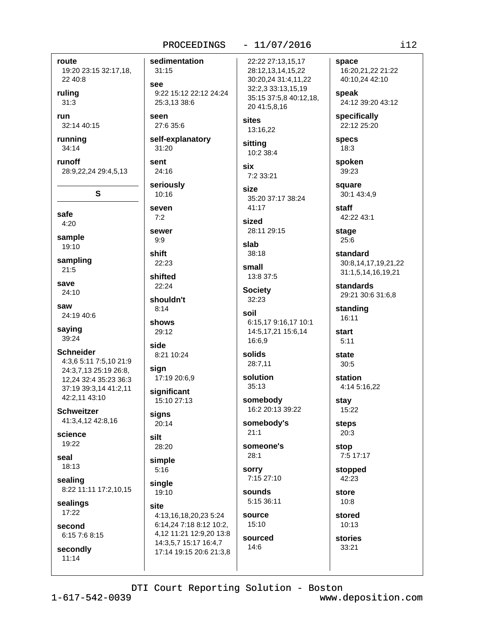## route

19:20 23:15 32:17,18, 22 40:8

rulina  $31:3$ 

run 32:14 40:15

running 34:14

runoff 28:9,22,24 29:4,5,13

S

safe  $4:20$ 

sample  $19:10$ 

sampling  $21:5$ 

save  $24:10$ 

saw 24:19 40:6

saving 39:24

**Schneider** 4:3,6 5:11 7:5,10 21:9 24:3,7,13 25:19 26:8, 12,24 32:4 35:23 36:3 37:19 39:3.14 41:2.11 42:2,11 43:10

**Schweitzer** 41:3,4,12 42:8,16

science  $19:22$ 

seal 18:13

sealing 8:22 11:11 17:2,10,15

sealings 17:22

# second 6:15 7:6 8:15

secondly  $11:14$ 

#### $-11/07/2016$ PROCEEDINGS

sedimentation

 $31:15$ see 9:22 15:12 22:12 24:24

25:3.13 38:6 seen 27:6 35:6

self-explanatory 31:20

sent 24:16

seriously  $10:16$ 

seven  $7:2$ sewer

 $9.9$ shift

22:23 shifted

 $22:24$ 

shouldn't  $8:14$ 

shows 29:12

side 8:21 10:24

sian 17:19 20:6,9

significant 15:10 27:13

signs 20:14

silt

28:20 simple

 $5:16$ 

single 19:10

site

4:13,16,18,20,23 5:24 6:14,24 7:18 8:12 10:2, 4,12 11:21 12:9,20 13:8 14:3,5,7 15:17 16:4,7 17:14 19:15 20:6 21:3,8 22:22 27:13.15.17 28:12,13,14,15,22 30:20,24 31:4,11,22 32:2,3 33:13,15,19 35:15 37:5,8 40:12,18,

20 41:5,8,16 sites 13:16,22

sitting 10:2 38:4

six 7:2 33:21

size 35:20 37:17 38:24 41:17

sized 28:11 29:15

slab 38:18

small 13:8 37:5

**Society**  $32:23$ 

soil 6:15,17 9:16,17 10:1 14:5,17,21 15:6,14 16:6,9

solids 28:7,11

solution  $35:13$ 

somebody 16:2 20:13 39:22

somebody's  $21:1$ 

someone's  $28:1$ 

sorry 7:15 27:10 sounds

5:15 36:11 source

 $15:10$ sourced  $14:6$ 

space 16:20,21,22 21:22 40:10,24 42:10 speak 24:12 39:20 43:12 specifically 22:12 25:20 **specs** 

 $18:3$ spoken

39:23 square

30:1 43:4.9

staff 42:22 43:1

stage  $25:6$ 

standard 30:8,14,17,19,21,22 31:1,5,14,16,19,21

standards 29:21 30:6 31:6,8

standing 16:11

start  $5:11$ 

state  $30:5$ 

> station 4:14 5:16,22

stav 15:22

steps  $20:3$ 

stop 7:5 17:17

stopped 42:23

store  $10:8$ 

stored 10:13

stories 33:21

DTI Court Reporting Solution - Boston

 $1 - 617 - 542 - 0039$ 

www.deposition.com

 $i12$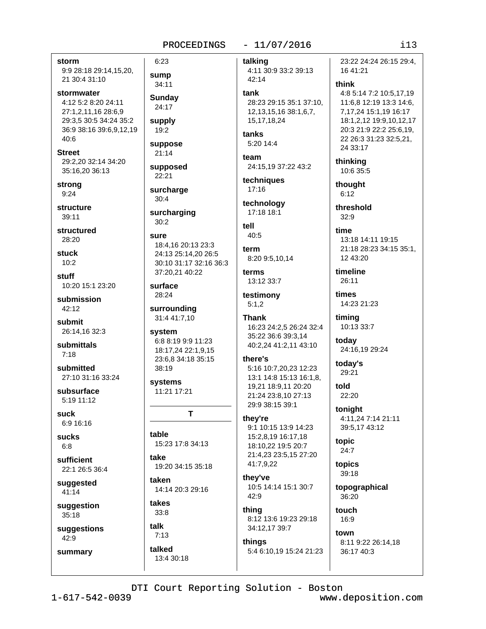# $-11/07/2016$

storm 9:9 28:18 29:14,15,20, 21 30:4 31:10

- stormwater 4:12 5:2 8:20 24:11 27:1,2,11,16 28:6,9 29:3,5 30:5 34:24 35:2 36:9 38:16 39:6,9,12,19  $40:6$
- **Street** 29:2.20 32:14 34:20 35:16,20 36:13

strong  $9:24$ 

structure  $39.11$ 

structured 28:20

**stuck**  $10:2$ 

stuff 10:20 15:1 23:20

submission  $42.12$ 

submit 26:14.16 32:3

submittals  $7:18$ 

submitted 27:10 31:16 33:24

subsurface  $5:19$  11:12

suck 6:9 16:16

**sucks**  $6.8$ 

sufficient 22:1 26:5 36:4

suggested 41:14

suggestion  $35:18$ 

suggestions 42:9

summary

**Sundav**  $24:17$ supply  $19:2$ suppose

 $21:14$ 

 $6:23$ 

sump

34:11

supposed  $22:21$ 

surcharge  $30:4$ 

surcharging  $30:2$ 

SUITA 18:4,16 20:13 23:3 24:13 25:14,20 26:5 30:10 31:17 32:16 36:3 37:20,21 40:22

surface 28:24

surrounding 31:4 41:7,10

system 6:8 8:19 9:9 11:23 18:17,24 22:1,9,15 23:6,8 34:18 35:15 38:19

systems 11:21 17:21

T

table 15:23 17:8 34:13

take 19:20 34:15 35:18

taken 14:14 20:3 29:16

takes  $33:8$ 

# talk  $7:13$

talked

13:4 30:18

talking 4:11 30:9 33:2 39:13

42:14 tank

28:23 29:15 35:1 37:10. 12, 13, 15, 16 38: 1, 6, 7, 15, 17, 18, 24

tanks 5:20 14:4

team 24:15,19 37:22 43:2

techniques  $17:16$ 

technology 17:18 18:1

tell  $40:5$ 

term 8:20 9:5,10,14

terms 13:12 33:7

testimony  $5:1,2$ 

# Thank

16:23 24:2,5 26:24 32:4 35:22 36:6 39:3,14 40:2,24 41:2,11 43:10

# there's

5:16 10:7,20,23 12:23 13:1 14:8 15:13 16:1.8. 19.21 18:9.11 20:20 21:24 23:8,10 27:13 29:9 38:15 39:1

# they're

9:1 10:15 13:9 14:23 15:2,8,19 16:17,18 18:10,22 19:5 20:7 21:4,23 23:5,15 27:20 41:7,9,22

they've 10:5 14:14 15:1 30:7  $42:9$ 

thina 8:12 13:6 19:23 29:18 34:12,17 39:7

# things 5:4 6:10,19 15:24 21:23

times 14:23 21:23

13:18 14:11 19:15

21:18 28:23 34:15 35:1,

timing 10:13 33:7

today 24:16,19 29:24

> today's 29:21

told 22:20

tonight 4:11,24 7:14 21:11 39:5,17 43:12

topic  $24:7$ 

topics  $39:18$ 

topographical 36:20

touch 16:9

town

8:11 9:22 26:14,18 36:17 40:3

DTI Court Reporting Solution - Boston

www.deposition.com

 $113$ 

23:22 24:24 26:15 29:4.

4:8 5:14 7:2 10:5,17,19

11:6,8 12:19 13:3 14:6,

18:1,2,12 19:9,10,12,17

20:3 21:9 22:2 25:6,19,

22 26:3 31:23 32:5,21,

7, 17, 24 15: 1, 19 16: 17

16 41:21

24 33:17

10:6 35:5

thinking

thought

threshold

12 43:20

timeline

26:11

 $6:12$ 

 $32.9$ 

time

think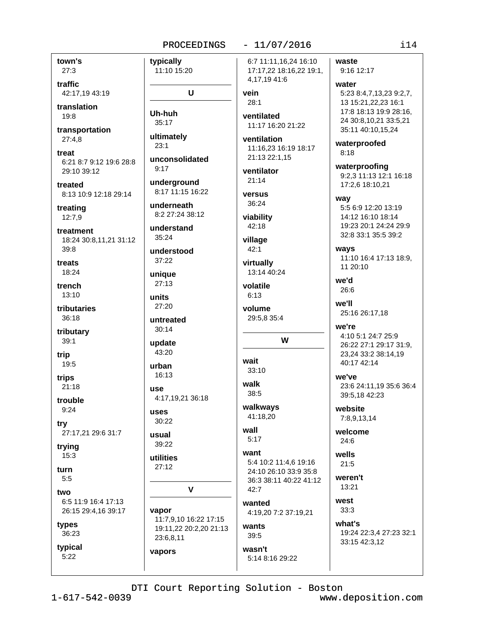town's  $27:3$ 

traffic 42:17.19 43:19

translation 19:8

transportation  $27:4,8$ 

treat 6:21 8:7 9:12 19:6 28:8 29:10 39:12

treated 8:13 10:9 12:18 29:14

treating  $12:7,9$ 

treatment 18:24 30:8,11,21 31:12  $39:8$ 

treats 18:24

trench 13:10

tributaries 36:18

tributary  $39:1$ 

trip 19:5

trips

 $21:18$ trouble

 $9:24$ 

try 27:17,21 29:6 31:7

trying  $15:3$ 

turn

 $5:5$ 

two 6:5 11:9 16:4 17:13 26:15 29:4,16 39:17

types 36:23

typical

 $5:22$ 

 $-11/07/2016$ PROCEEDINGS typically 11:10 15:20 U vein  $28:1$ Uh-huh  $35:17$ ultimately  $23:1$ unconsolidated  $9.17$  $21:14$ underground 8:17 11:15 16:22 VATSUS 36:24 underneath 8:2 27:24 38:12 viability 42:18 understand 35:24 village  $42:1$ understood 37:22 virtually unique  $27:13$ volatile  $6:13$ units 27:20 volume untreated  $30:14$ update 43:20 wait urban  $33:10$ 16:13 walk 1190 38:5 4:17,19,21 36:18 **IISAS** 41:18,20  $30:22$ wall usual  $5:17$ 39:22 want utilities  $27:12$  $\mathbf{V}$  $42 - 7$ 

vapor 11:7,9,10 16:22 17:15 19:11,22 20:2,20 21:13 23:6,8,11

vapors

6:7 11:11,16,24 16:10 17:17,22 18:16,22 19:1, 4,17,19 41:6

ventilated 11:17 16:20 21:22

ventilation 11:16,23 16:19 18:17 21:13 22:1.15

ventilator

13:14 40:24

29:5,8 35:4

W

walkways

5:4 10:2 11:4,6 19:16 24:10 26:10 33:9 35:8 36:3 38:11 40:22 41:12

wanted 4:19.20 7:2 37:19.21

wants  $39:5$ 

wasn't 5:14 8:16 29:22 waste 9:16 12:17

> water 5:23 8:4,7,13,23 9:2,7, 13 15:21,22,23 16:1 17:8 18:13 19:9 28:16, 24 30:8,10,21 33:5,21 35:11 40:10,15,24

waterproofed  $8:18$ 

waterproofing 9:2,3 11:13 12:1 16:18 17:2,6 18:10,21

way

5:5 6:9 12:20 13:19 14:12 16:10 18:14 19:23 20:1 24:24 29:9 32:8 33:1 35:5 39:2

ways 11:10 16:4 17:13 18:9, 11 20:10

we'd 26:6

we'll 25:16 26:17,18

we're 4:10 5:1 24:7 25:9 26:22 27:1 29:17 31:9, 23,24 33:2 38:14,19 40:17 42:14

we've 23:6 24:11.19 35:6 36:4 39:5,18 42:23

website 7:8,9,13,14

welcome  $24:6$ 

wells  $21:5$ 

weren't  $13:21$ 

> west  $33:3$

what's 19:24 22:3.4 27:23 32:1 33:15 42:3,12

DTI Court Reporting Solution - Boston

 $1 - 617 - 542 - 0039$